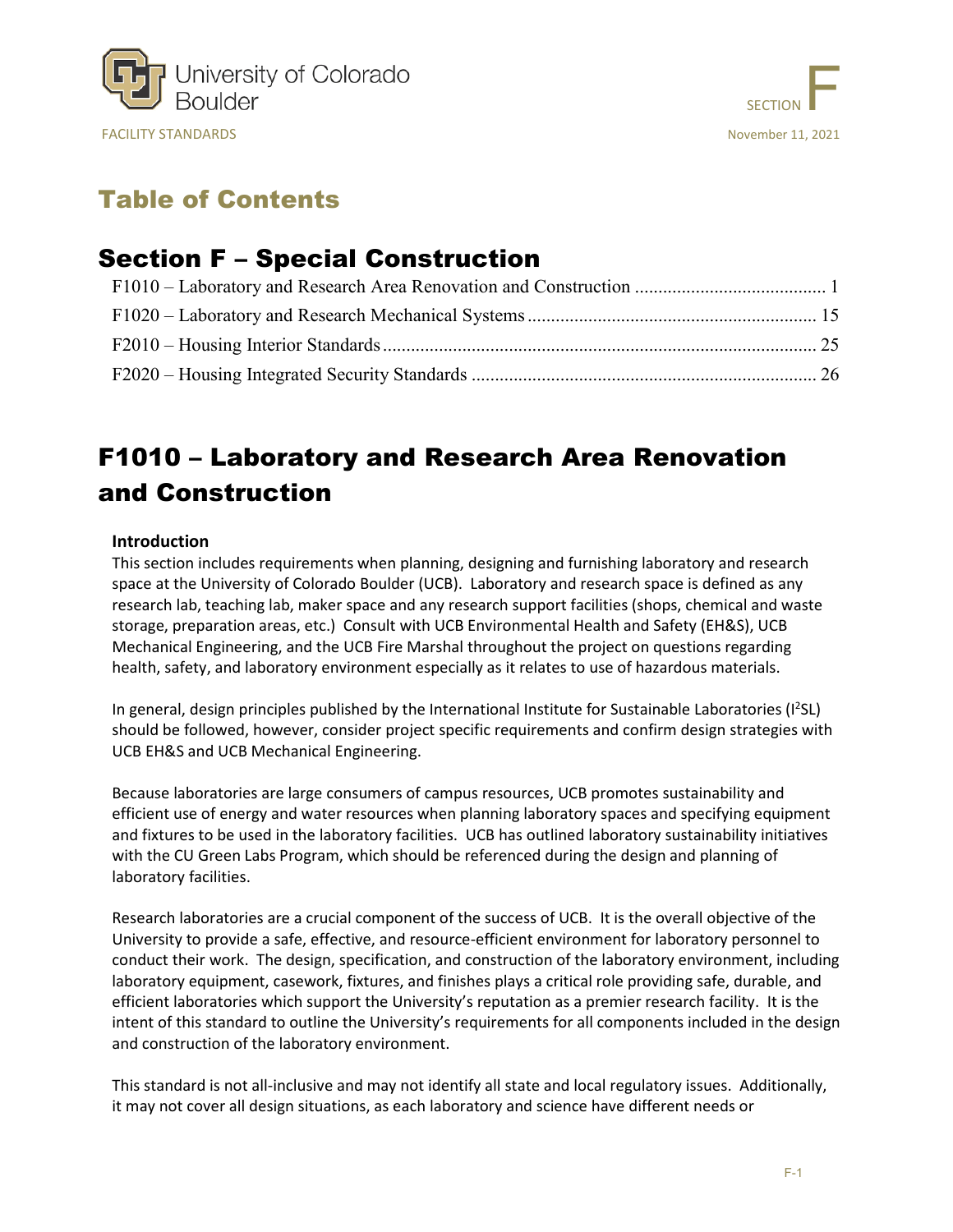



# Table of Contents

## Section F – Special Construction

# <span id="page-0-0"></span>F1010 – Laboratory and Research Area Renovation and Construction

### **Introduction**

This section includes requirements when planning, designing and furnishing laboratory and research space at the University of Colorado Boulder (UCB). Laboratory and research space is defined as any research lab, teaching lab, maker space and any research support facilities (shops, chemical and waste storage, preparation areas, etc.) Consult with UCB Environmental Health and Safety (EH&S), UCB Mechanical Engineering, and the UCB Fire Marshal throughout the project on questions regarding health, safety, and laboratory environment especially as it relates to use of hazardous materials.

In general, design principles published by the International Institute for Sustainable Laboratories (I<sup>2</sup>SL) should be followed, however, consider project specific requirements and confirm design strategies with UCB EH&S and UCB Mechanical Engineering.

Because laboratories are large consumers of campus resources, UCB promotes sustainability and efficient use of energy and water resources when planning laboratory spaces and specifying equipment and fixtures to be used in the laboratory facilities. UCB has outlined laboratory sustainability initiatives with the CU Green Labs Program, which should be referenced during the design and planning of laboratory facilities.

Research laboratories are a crucial component of the success of UCB. It is the overall objective of the University to provide a safe, effective, and resource-efficient environment for laboratory personnel to conduct their work. The design, specification, and construction of the laboratory environment, including laboratory equipment, casework, fixtures, and finishes plays a critical role providing safe, durable, and efficient laboratories which support the University's reputation as a premier research facility. It is the intent of this standard to outline the University's requirements for all components included in the design and construction of the laboratory environment.

This standard is not all-inclusive and may not identify all state and local regulatory issues. Additionally, it may not cover all design situations, as each laboratory and science have different needs or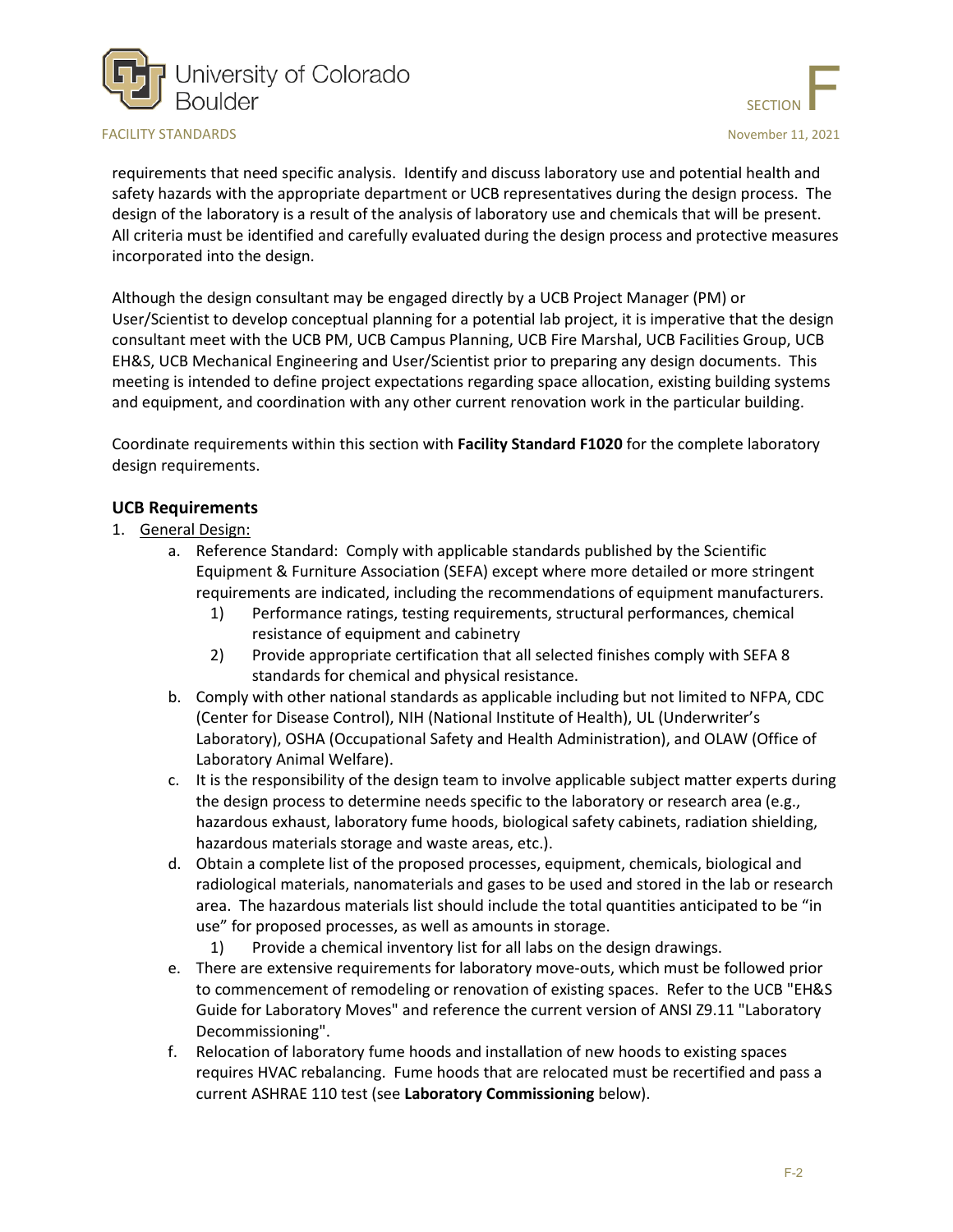



requirements that need specific analysis. Identify and discuss laboratory use and potential health and safety hazards with the appropriate department or UCB representatives during the design process. The design of the laboratory is a result of the analysis of laboratory use and chemicals that will be present. All criteria must be identified and carefully evaluated during the design process and protective measures incorporated into the design.

Although the design consultant may be engaged directly by a UCB Project Manager (PM) or User/Scientist to develop conceptual planning for a potential lab project, it is imperative that the design consultant meet with the UCB PM, UCB Campus Planning, UCB Fire Marshal, UCB Facilities Group, UCB EH&S, UCB Mechanical Engineering and User/Scientist prior to preparing any design documents. This meeting is intended to define project expectations regarding space allocation, existing building systems and equipment, and coordination with any other current renovation work in the particular building.

Coordinate requirements within this section with **Facility Standard F1020** for the complete laboratory design requirements.

#### **UCB Requirements**

- 1. General Design:
	- a. Reference Standard: Comply with applicable standards published by the Scientific Equipment & Furniture Association (SEFA) except where more detailed or more stringent requirements are indicated, including the recommendations of equipment manufacturers.
		- 1) Performance ratings, testing requirements, structural performances, chemical resistance of equipment and cabinetry
		- 2) Provide appropriate certification that all selected finishes comply with SEFA 8 standards for chemical and physical resistance.
	- b. Comply with other national standards as applicable including but not limited to NFPA, CDC (Center for Disease Control), NIH (National Institute of Health), UL (Underwriter's Laboratory), OSHA (Occupational Safety and Health Administration), and OLAW (Office of Laboratory Animal Welfare).
	- c. It is the responsibility of the design team to involve applicable subject matter experts during the design process to determine needs specific to the laboratory or research area (e.g., hazardous exhaust, laboratory fume hoods, biological safety cabinets, radiation shielding, hazardous materials storage and waste areas, etc.).
	- d. Obtain a complete list of the proposed processes, equipment, chemicals, biological and radiological materials, nanomaterials and gases to be used and stored in the lab or research area. The hazardous materials list should include the total quantities anticipated to be "in use" for proposed processes, as well as amounts in storage.
		- 1) Provide a chemical inventory list for all labs on the design drawings.
	- e. There are extensive requirements for laboratory move-outs, which must be followed prior to commencement of remodeling or renovation of existing spaces. Refer to the UCB "EH&S Guide for Laboratory Moves" and reference the current version of ANSI Z9.11 "Laboratory Decommissioning".
	- f. Relocation of laboratory fume hoods and installation of new hoods to existing spaces requires HVAC rebalancing. Fume hoods that are relocated must be recertified and pass a current ASHRAE 110 test (see **Laboratory Commissioning** below).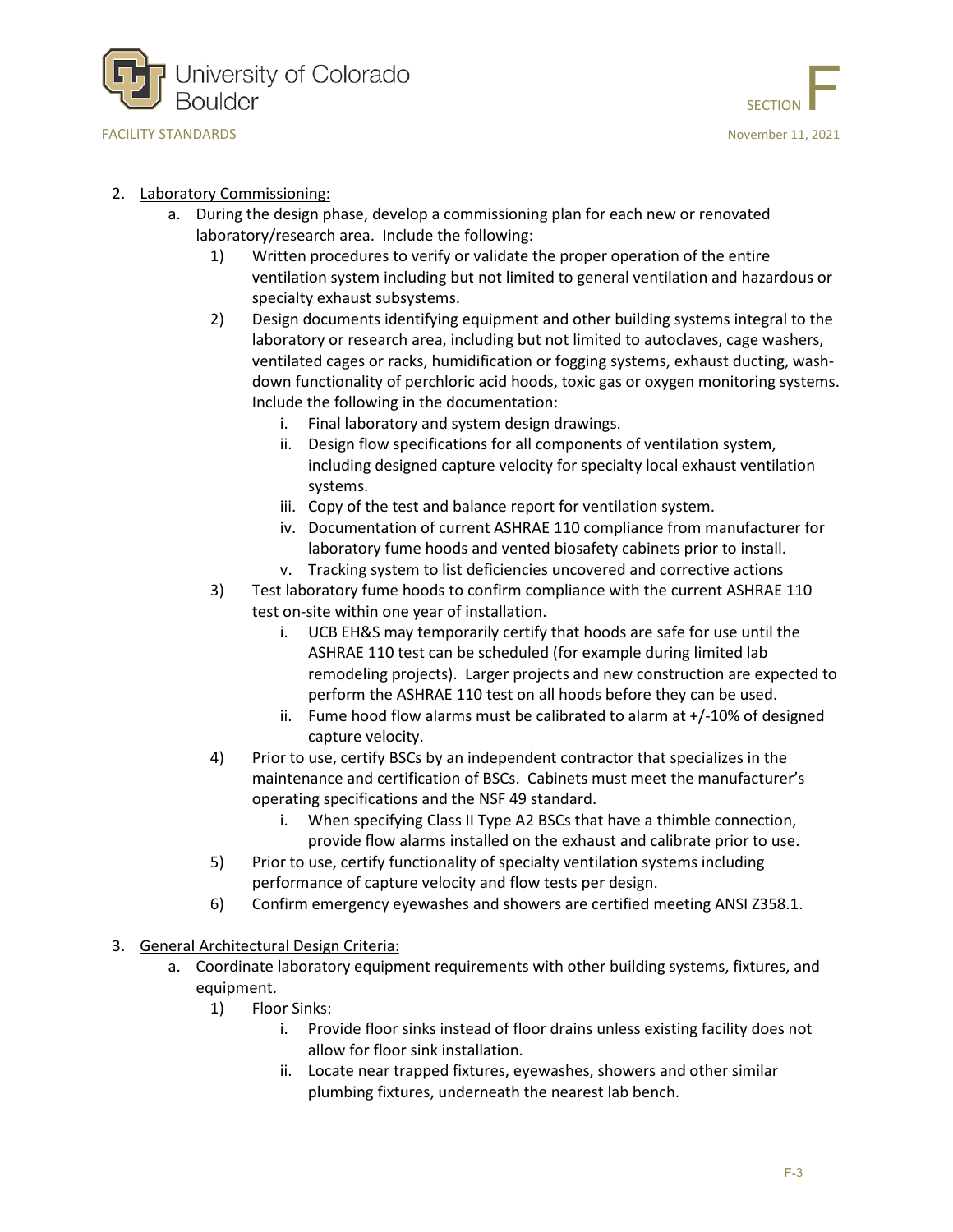



#### 2. Laboratory Commissioning:

- a. During the design phase, develop a commissioning plan for each new or renovated laboratory/research area. Include the following:
	- 1) Written procedures to verify or validate the proper operation of the entire ventilation system including but not limited to general ventilation and hazardous or specialty exhaust subsystems.
	- 2) Design documents identifying equipment and other building systems integral to the laboratory or research area, including but not limited to autoclaves, cage washers, ventilated cages or racks, humidification or fogging systems, exhaust ducting, washdown functionality of perchloric acid hoods, toxic gas or oxygen monitoring systems. Include the following in the documentation:
		- i. Final laboratory and system design drawings.
		- ii. Design flow specifications for all components of ventilation system, including designed capture velocity for specialty local exhaust ventilation systems.
		- iii. Copy of the test and balance report for ventilation system.
		- iv. Documentation of current ASHRAE 110 compliance from manufacturer for laboratory fume hoods and vented biosafety cabinets prior to install.
		- v. Tracking system to list deficiencies uncovered and corrective actions
	- 3) Test laboratory fume hoods to confirm compliance with the current ASHRAE 110 test on-site within one year of installation.
		- i. UCB EH&S may temporarily certify that hoods are safe for use until the ASHRAE 110 test can be scheduled (for example during limited lab remodeling projects). Larger projects and new construction are expected to perform the ASHRAE 110 test on all hoods before they can be used.
		- ii. Fume hood flow alarms must be calibrated to alarm at  $+/-10\%$  of designed capture velocity.
	- 4) Prior to use, certify BSCs by an independent contractor that specializes in the maintenance and certification of BSCs. Cabinets must meet the manufacturer's operating specifications and the NSF 49 standard.
		- i. When specifying Class II Type A2 BSCs that have a thimble connection, provide flow alarms installed on the exhaust and calibrate prior to use.
	- 5) Prior to use, certify functionality of specialty ventilation systems including performance of capture velocity and flow tests per design.
	- 6) Confirm emergency eyewashes and showers are certified meeting ANSI Z358.1.
- 3. General Architectural Design Criteria:
	- a. Coordinate laboratory equipment requirements with other building systems, fixtures, and equipment.
		- 1) Floor Sinks:
			- i. Provide floor sinks instead of floor drains unless existing facility does not allow for floor sink installation.
			- ii. Locate near trapped fixtures, eyewashes, showers and other similar plumbing fixtures, underneath the nearest lab bench.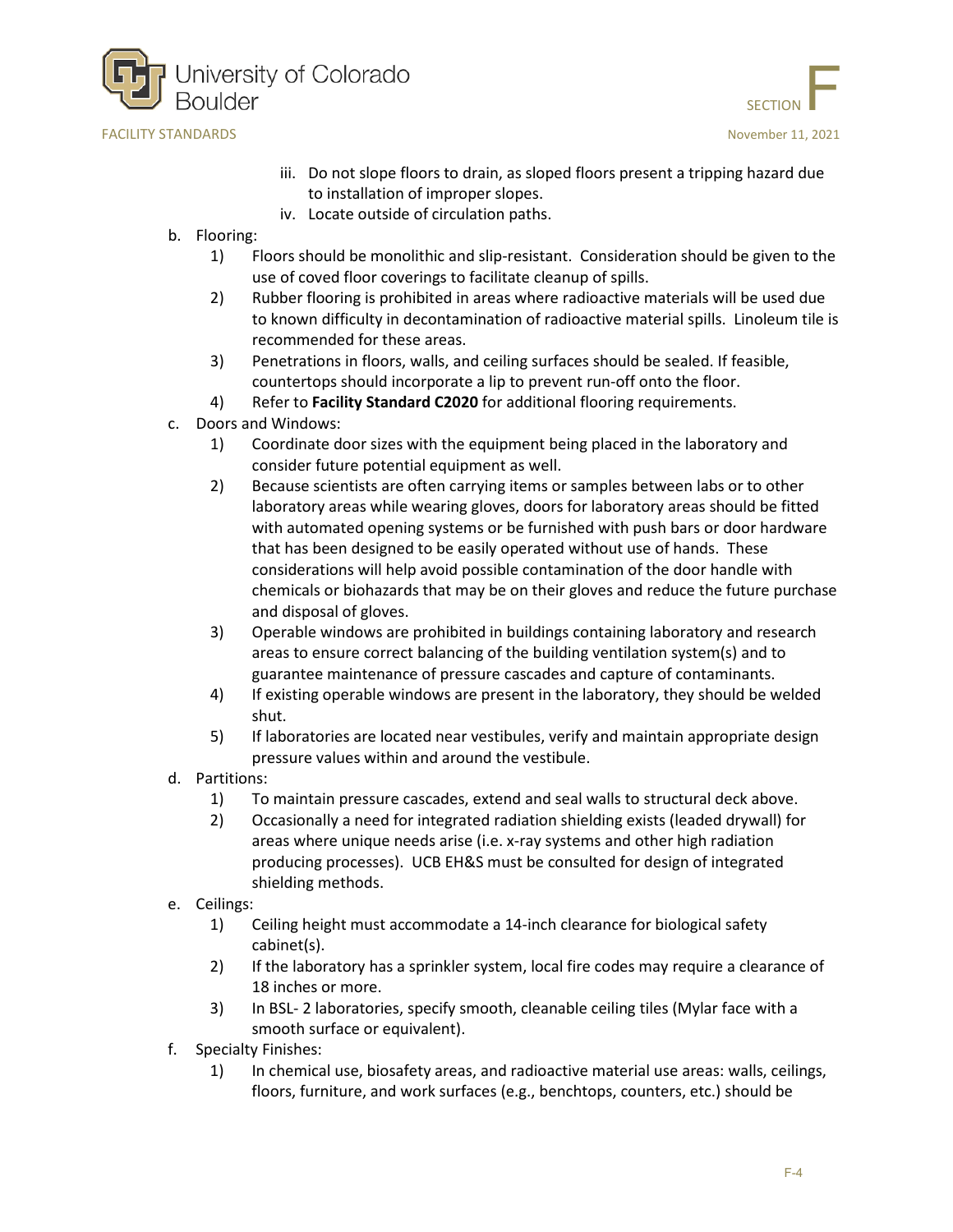



- iii. Do not slope floors to drain, as sloped floors present a tripping hazard due to installation of improper slopes.
- iv. Locate outside of circulation paths.
- b. Flooring:
	- 1) Floors should be monolithic and slip-resistant. Consideration should be given to the use of coved floor coverings to facilitate cleanup of spills.
	- 2) Rubber flooring is prohibited in areas where radioactive materials will be used due to known difficulty in decontamination of radioactive material spills. Linoleum tile is recommended for these areas.
	- 3) Penetrations in floors, walls, and ceiling surfaces should be sealed. If feasible, countertops should incorporate a lip to prevent run-off onto the floor.
	- 4) Refer to **Facility Standard C2020** for additional flooring requirements.
- c. Doors and Windows:
	- 1) Coordinate door sizes with the equipment being placed in the laboratory and consider future potential equipment as well.
	- 2) Because scientists are often carrying items or samples between labs or to other laboratory areas while wearing gloves, doors for laboratory areas should be fitted with automated opening systems or be furnished with push bars or door hardware that has been designed to be easily operated without use of hands. These considerations will help avoid possible contamination of the door handle with chemicals or biohazards that may be on their gloves and reduce the future purchase and disposal of gloves.
	- 3) Operable windows are prohibited in buildings containing laboratory and research areas to ensure correct balancing of the building ventilation system(s) and to guarantee maintenance of pressure cascades and capture of contaminants.
	- 4) If existing operable windows are present in the laboratory, they should be welded shut.
	- 5) If laboratories are located near vestibules, verify and maintain appropriate design pressure values within and around the vestibule.
- d. Partitions:
	- 1) To maintain pressure cascades, extend and seal walls to structural deck above.
	- 2) Occasionally a need for integrated radiation shielding exists (leaded drywall) for areas where unique needs arise (i.e. x-ray systems and other high radiation producing processes). UCB EH&S must be consulted for design of integrated shielding methods.
- e. Ceilings:
	- 1) Ceiling height must accommodate a 14-inch clearance for biological safety cabinet(s).
	- 2) If the laboratory has a sprinkler system, local fire codes may require a clearance of 18 inches or more.
	- 3) In BSL- 2 laboratories, specify smooth, cleanable ceiling tiles (Mylar face with a smooth surface or equivalent).
- f. Specialty Finishes:
	- 1) In chemical use, biosafety areas, and radioactive material use areas: walls, ceilings, floors, furniture, and work surfaces (e.g., benchtops, counters, etc.) should be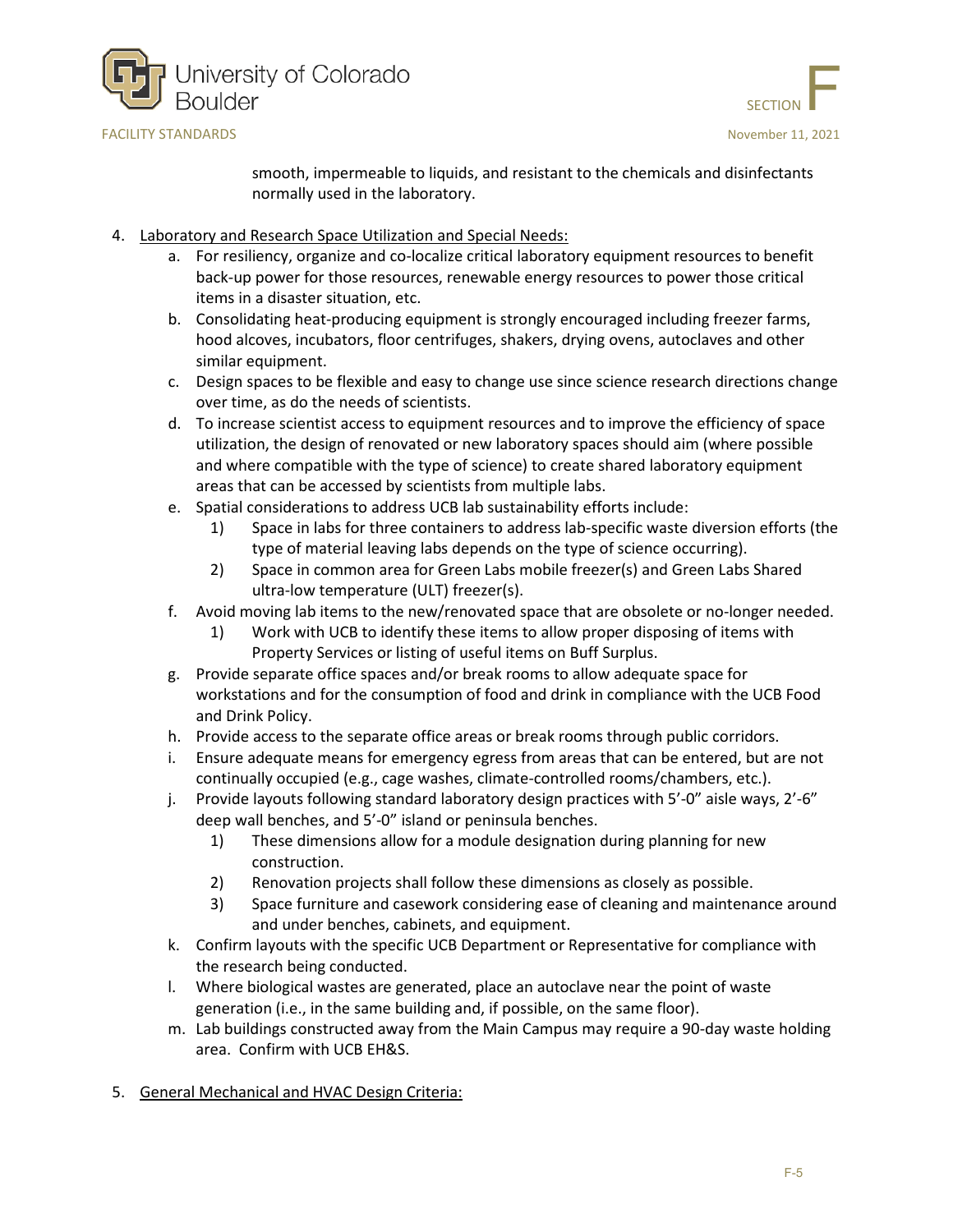

SECTION

smooth, impermeable to liquids, and resistant to the chemicals and disinfectants normally used in the laboratory.

- 4. Laboratory and Research Space Utilization and Special Needs:
	- a. For resiliency, organize and co-localize critical laboratory equipment resources to benefit back-up power for those resources, renewable energy resources to power those critical items in a disaster situation, etc.
	- b. Consolidating heat-producing equipment is strongly encouraged including freezer farms, hood alcoves, incubators, floor centrifuges, shakers, drying ovens, autoclaves and other similar equipment.
	- c. Design spaces to be flexible and easy to change use since science research directions change over time, as do the needs of scientists.
	- d. To increase scientist access to equipment resources and to improve the efficiency of space utilization, the design of renovated or new laboratory spaces should aim (where possible and where compatible with the type of science) to create shared laboratory equipment areas that can be accessed by scientists from multiple labs.
	- e. Spatial considerations to address UCB lab sustainability efforts include:
		- 1) Space in labs for three containers to address lab-specific waste diversion efforts (the type of material leaving labs depends on the type of science occurring).
		- 2) Space in common area for Green Labs mobile freezer(s) and Green Labs Shared ultra-low temperature (ULT) freezer(s).
	- f. Avoid moving lab items to the new/renovated space that are obsolete or no-longer needed.
		- 1) Work with UCB to identify these items to allow proper disposing of items with Property Services or listing of useful items on Buff Surplus.
	- g. Provide separate office spaces and/or break rooms to allow adequate space for workstations and for the consumption of food and drink in compliance with the UCB Food and Drink Policy.
	- h. Provide access to the separate office areas or break rooms through public corridors.
	- i. Ensure adequate means for emergency egress from areas that can be entered, but are not continually occupied (e.g., cage washes, climate-controlled rooms/chambers, etc.).
	- j. Provide layouts following standard laboratory design practices with 5'-0" aisle ways, 2'-6" deep wall benches, and 5'-0" island or peninsula benches.
		- 1) These dimensions allow for a module designation during planning for new construction.
		- 2) Renovation projects shall follow these dimensions as closely as possible.
		- 3) Space furniture and casework considering ease of cleaning and maintenance around and under benches, cabinets, and equipment.
	- k. Confirm layouts with the specific UCB Department or Representative for compliance with the research being conducted.
	- l. Where biological wastes are generated, place an autoclave near the point of waste generation (i.e., in the same building and, if possible, on the same floor).
	- m. Lab buildings constructed away from the Main Campus may require a 90-day waste holding area. Confirm with UCB EH&S.
- 5. General Mechanical and HVAC Design Criteria: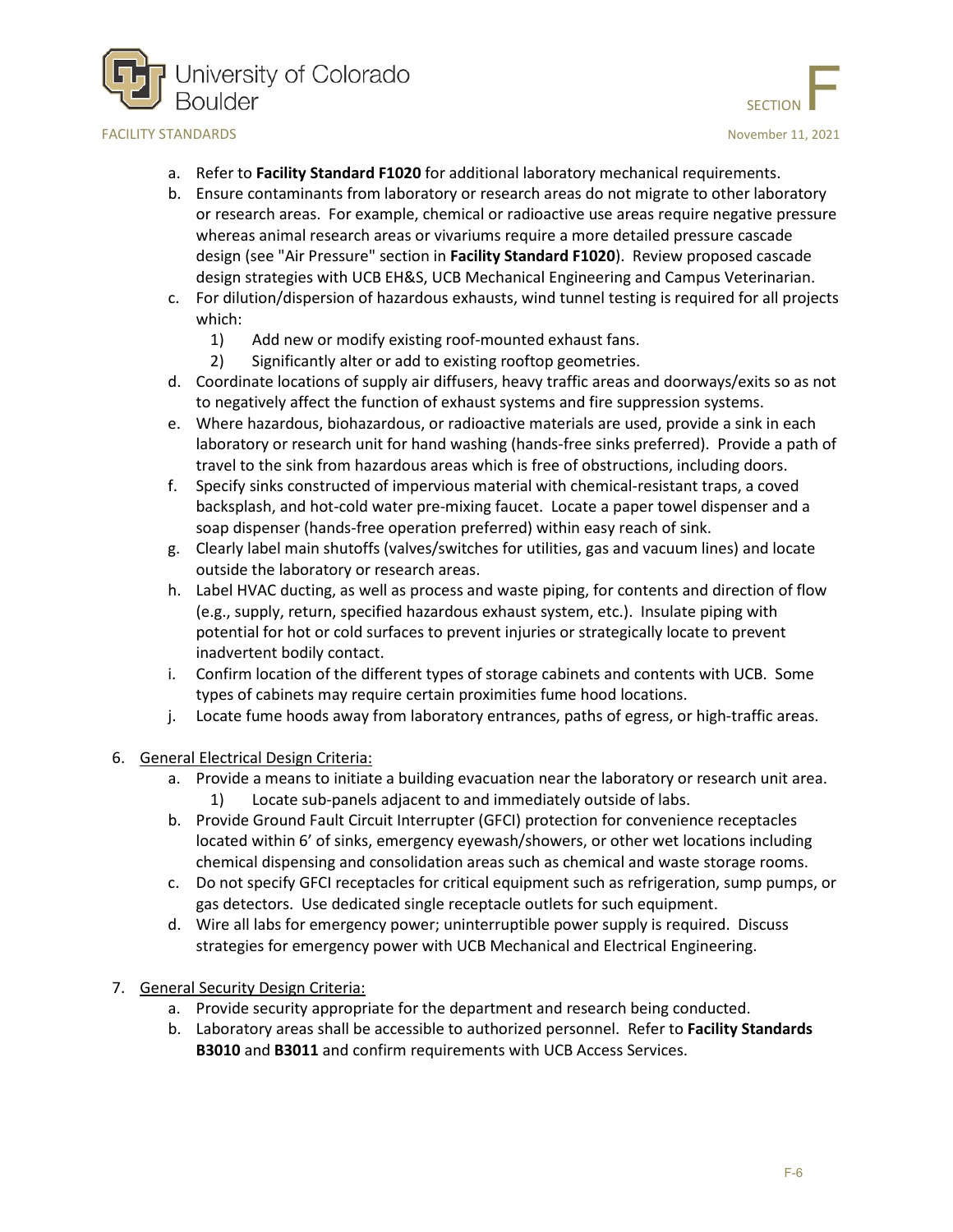



- a. Refer to **Facility Standard F1020** for additional laboratory mechanical requirements.
- b. Ensure contaminants from laboratory or research areas do not migrate to other laboratory or research areas. For example, chemical or radioactive use areas require negative pressure whereas animal research areas or vivariums require a more detailed pressure cascade design (see "Air Pressure" section in **Facility Standard F1020**). Review proposed cascade design strategies with UCB EH&S, UCB Mechanical Engineering and Campus Veterinarian.
- c. For dilution/dispersion of hazardous exhausts, wind tunnel testing is required for all projects which:
	- 1) Add new or modify existing roof-mounted exhaust fans.
	- 2) Significantly alter or add to existing rooftop geometries.
- d. Coordinate locations of supply air diffusers, heavy traffic areas and doorways/exits so as not to negatively affect the function of exhaust systems and fire suppression systems.
- e. Where hazardous, biohazardous, or radioactive materials are used, provide a sink in each laboratory or research unit for hand washing (hands-free sinks preferred). Provide a path of travel to the sink from hazardous areas which is free of obstructions, including doors.
- f. Specify sinks constructed of impervious material with chemical-resistant traps, a coved backsplash, and hot-cold water pre-mixing faucet. Locate a paper towel dispenser and a soap dispenser (hands-free operation preferred) within easy reach of sink.
- g. Clearly label main shutoffs (valves/switches for utilities, gas and vacuum lines) and locate outside the laboratory or research areas.
- h. Label HVAC ducting, as well as process and waste piping, for contents and direction of flow (e.g., supply, return, specified hazardous exhaust system, etc.). Insulate piping with potential for hot or cold surfaces to prevent injuries or strategically locate to prevent inadvertent bodily contact.
- i. Confirm location of the different types of storage cabinets and contents with UCB. Some types of cabinets may require certain proximities fume hood locations.
- j. Locate fume hoods away from laboratory entrances, paths of egress, or high-traffic areas.

#### 6. General Electrical Design Criteria:

- a. Provide a means to initiate a building evacuation near the laboratory or research unit area. 1) Locate sub-panels adjacent to and immediately outside of labs.
- b. Provide Ground Fault Circuit Interrupter (GFCI) protection for convenience receptacles located within 6' of sinks, emergency eyewash/showers, or other wet locations including chemical dispensing and consolidation areas such as chemical and waste storage rooms.
- c. Do not specify GFCI receptacles for critical equipment such as refrigeration, sump pumps, or gas detectors. Use dedicated single receptacle outlets for such equipment.
- d. Wire all labs for emergency power; uninterruptible power supply is required. Discuss strategies for emergency power with UCB Mechanical and Electrical Engineering.

#### 7. General Security Design Criteria:

- a. Provide security appropriate for the department and research being conducted.
- b. Laboratory areas shall be accessible to authorized personnel. Refer to **Facility Standards B3010** and **B3011** and confirm requirements with UCB Access Services.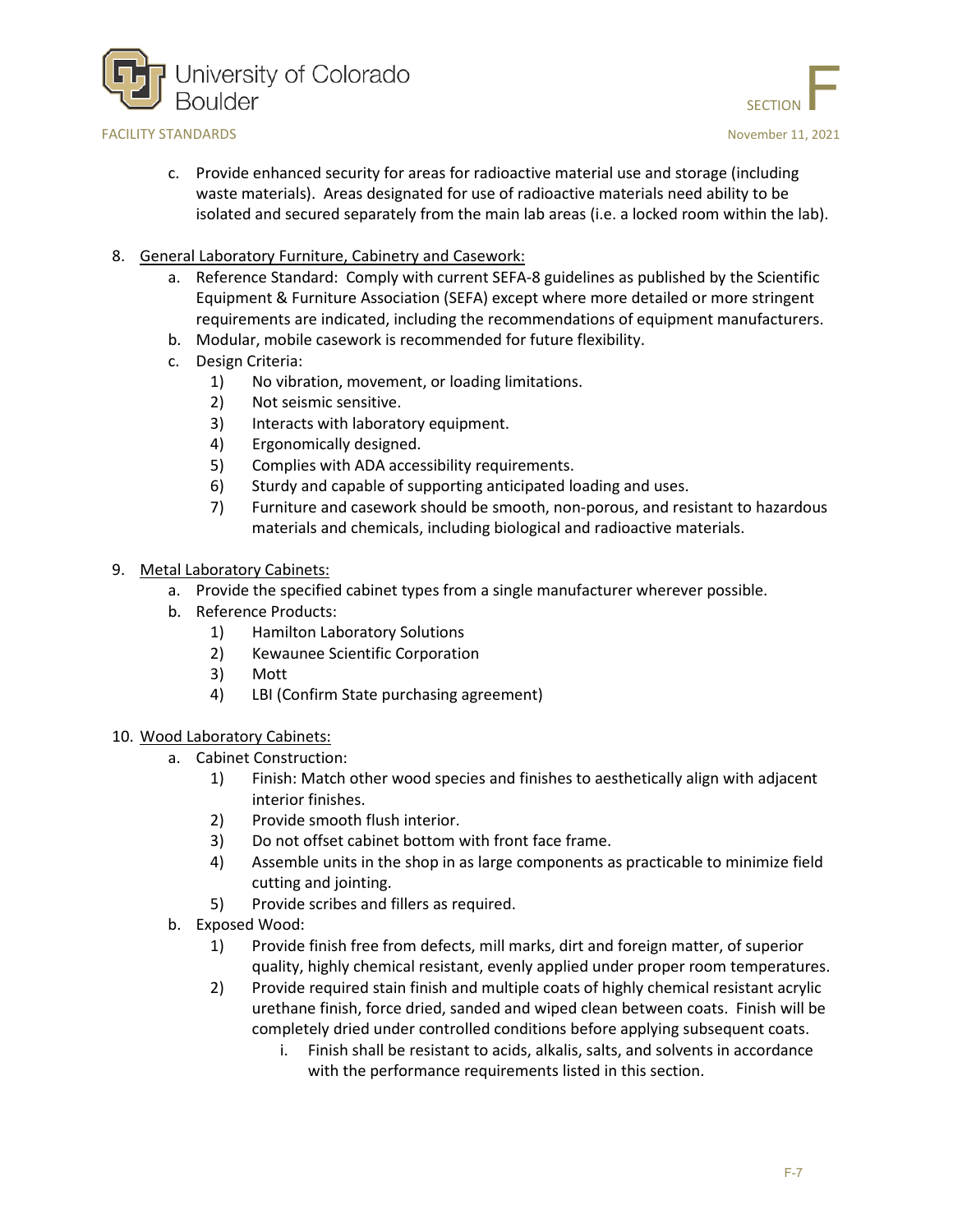



- c. Provide enhanced security for areas for radioactive material use and storage (including waste materials). Areas designated for use of radioactive materials need ability to be isolated and secured separately from the main lab areas (i.e. a locked room within the lab).
- 8. General Laboratory Furniture, Cabinetry and Casework:
	- a. Reference Standard: Comply with current SEFA-8 guidelines as published by the Scientific Equipment & Furniture Association (SEFA) except where more detailed or more stringent requirements are indicated, including the recommendations of equipment manufacturers.
	- b. Modular, mobile casework is recommended for future flexibility.
	- c. Design Criteria:
		- 1) No vibration, movement, or loading limitations.
		- 2) Not seismic sensitive.
		- 3) Interacts with laboratory equipment.
		- 4) Ergonomically designed.
		- 5) Complies with ADA accessibility requirements.
		- 6) Sturdy and capable of supporting anticipated loading and uses.
		- 7) Furniture and casework should be smooth, non-porous, and resistant to hazardous materials and chemicals, including biological and radioactive materials.
- 9. Metal Laboratory Cabinets:
	- a. Provide the specified cabinet types from a single manufacturer wherever possible.
	- b. Reference Products:
		- 1) Hamilton Laboratory Solutions
		- 2) Kewaunee Scientific Corporation
		- 3) Mott
		- 4) LBI (Confirm State purchasing agreement)

#### 10. Wood Laboratory Cabinets:

- a. Cabinet Construction:
	- 1) Finish: Match other wood species and finishes to aesthetically align with adjacent interior finishes.
	- 2) Provide smooth flush interior.
	- 3) Do not offset cabinet bottom with front face frame.
	- 4) Assemble units in the shop in as large components as practicable to minimize field cutting and jointing.
	- 5) Provide scribes and fillers as required.
- b. Exposed Wood:
	- 1) Provide finish free from defects, mill marks, dirt and foreign matter, of superior quality, highly chemical resistant, evenly applied under proper room temperatures.
	- 2) Provide required stain finish and multiple coats of highly chemical resistant acrylic urethane finish, force dried, sanded and wiped clean between coats. Finish will be completely dried under controlled conditions before applying subsequent coats.
		- i. Finish shall be resistant to acids, alkalis, salts, and solvents in accordance with the performance requirements listed in this section.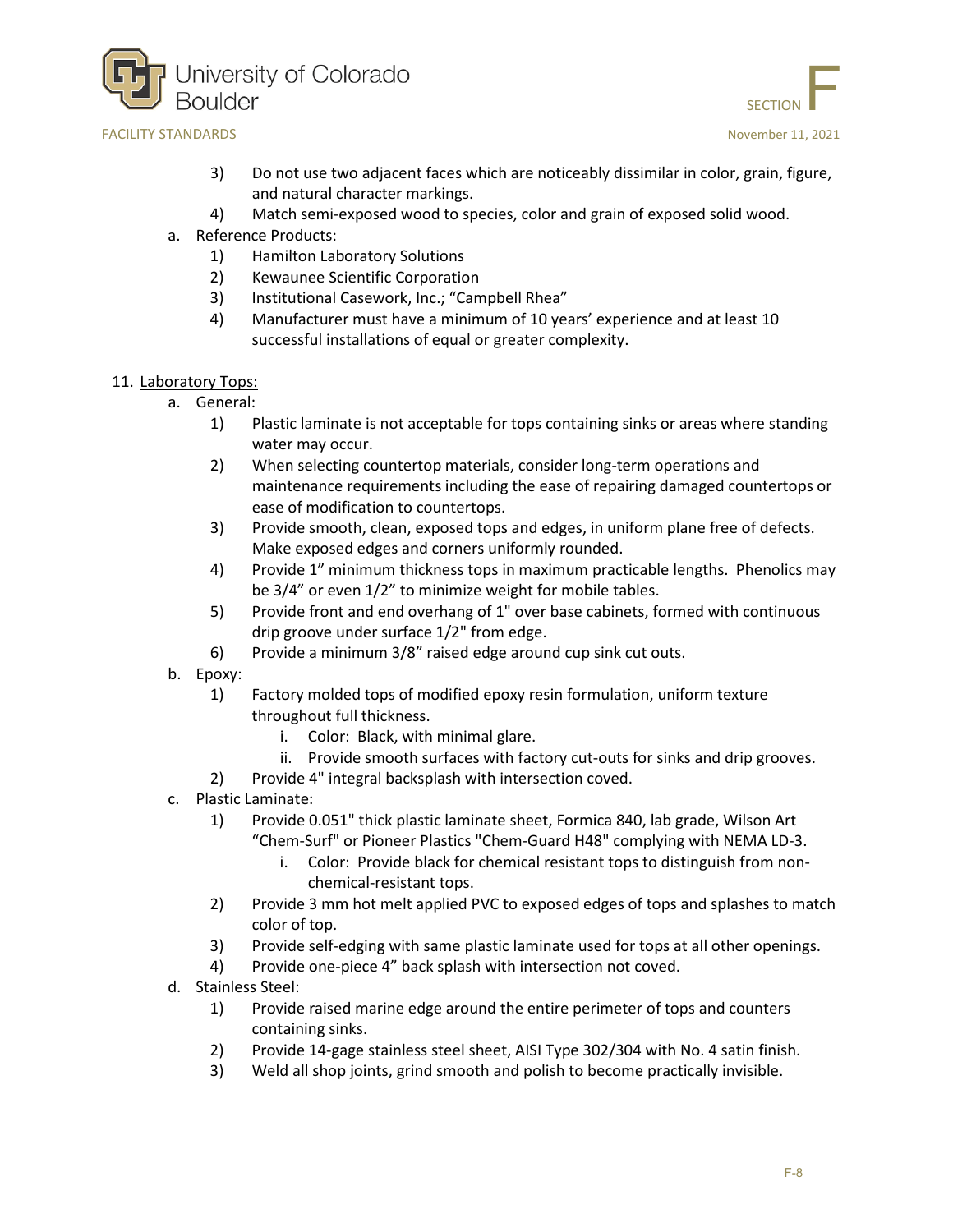



- 3) Do not use two adjacent faces which are noticeably dissimilar in color, grain, figure, and natural character markings.
- 4) Match semi-exposed wood to species, color and grain of exposed solid wood.
- a. Reference Products:
	- 1) Hamilton Laboratory Solutions
	- 2) Kewaunee Scientific Corporation
	- 3) Institutional Casework, Inc.; "Campbell Rhea"
	- 4) Manufacturer must have a minimum of 10 years' experience and at least 10 successful installations of equal or greater complexity.
- 11. Laboratory Tops:
	- a. General:
		- 1) Plastic laminate is not acceptable for tops containing sinks or areas where standing water may occur.
		- 2) When selecting countertop materials, consider long-term operations and maintenance requirements including the ease of repairing damaged countertops or ease of modification to countertops.
		- 3) Provide smooth, clean, exposed tops and edges, in uniform plane free of defects. Make exposed edges and corners uniformly rounded.
		- 4) Provide 1" minimum thickness tops in maximum practicable lengths. Phenolics may be 3/4" or even 1/2" to minimize weight for mobile tables.
		- 5) Provide front and end overhang of 1" over base cabinets, formed with continuous drip groove under surface 1/2" from edge.
		- 6) Provide a minimum 3/8" raised edge around cup sink cut outs.
	- b. Epoxy:
		- 1) Factory molded tops of modified epoxy resin formulation, uniform texture throughout full thickness.
			- i. Color: Black, with minimal glare.
			- ii. Provide smooth surfaces with factory cut-outs for sinks and drip grooves.
		- 2) Provide 4" integral backsplash with intersection coved.
	- c. Plastic Laminate:
		- 1) Provide 0.051" thick plastic laminate sheet, Formica 840, lab grade, Wilson Art
			- "Chem-Surf" or Pioneer Plastics "Chem-Guard H48" complying with NEMA LD-3.
				- i. Color: Provide black for chemical resistant tops to distinguish from nonchemical-resistant tops.
		- 2) Provide 3 mm hot melt applied PVC to exposed edges of tops and splashes to match color of top.
		- 3) Provide self-edging with same plastic laminate used for tops at all other openings.
		- 4) Provide one-piece 4" back splash with intersection not coved.
	- d. Stainless Steel:
		- 1) Provide raised marine edge around the entire perimeter of tops and counters containing sinks.
		- 2) Provide 14-gage stainless steel sheet, AISI Type 302/304 with No. 4 satin finish.
		- 3) Weld all shop joints, grind smooth and polish to become practically invisible.

SECTION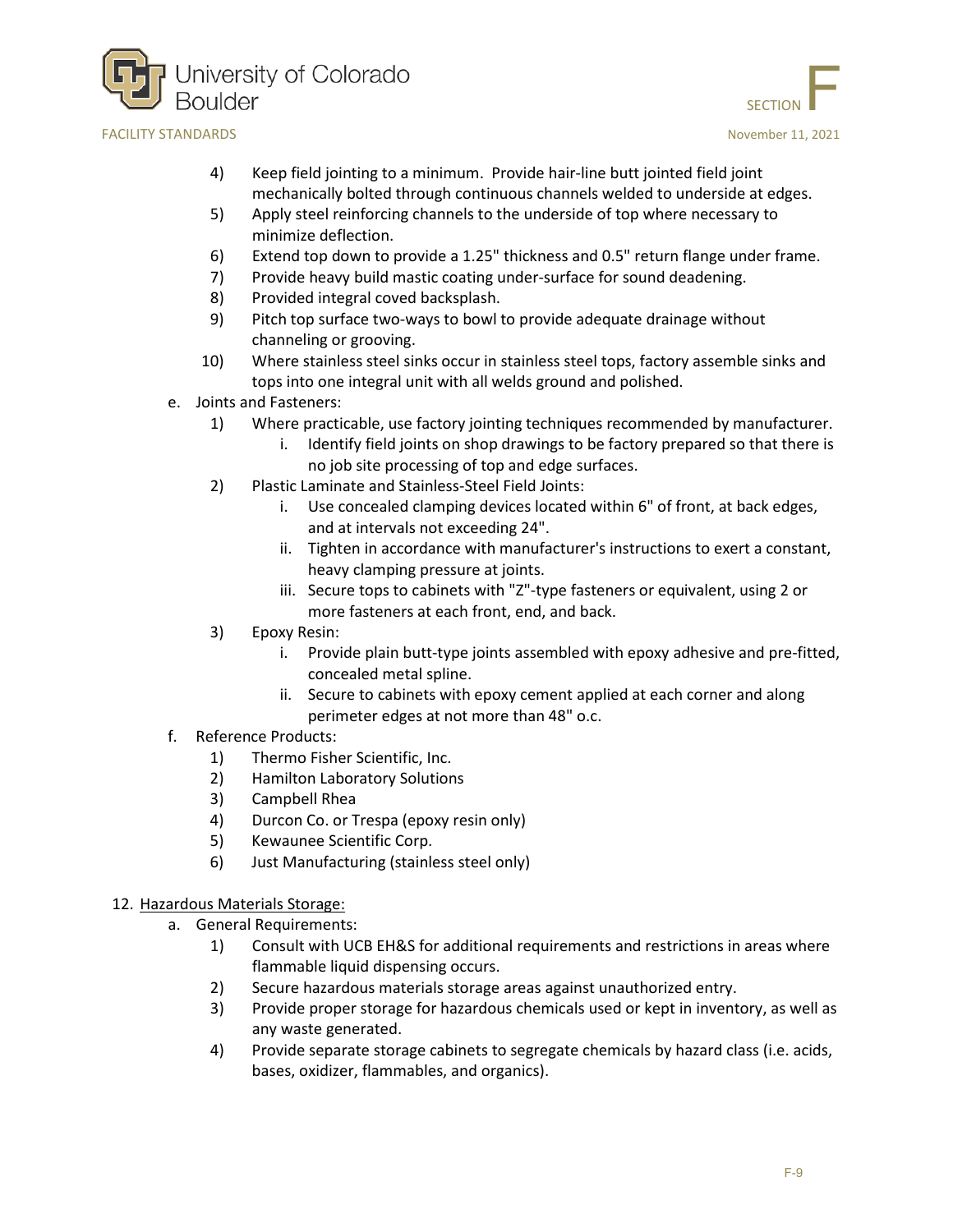



- 4) Keep field jointing to a minimum. Provide hair-line butt jointed field joint mechanically bolted through continuous channels welded to underside at edges.
- 5) Apply steel reinforcing channels to the underside of top where necessary to minimize deflection.
- 6) Extend top down to provide a 1.25" thickness and 0.5" return flange under frame.
- 7) Provide heavy build mastic coating under-surface for sound deadening.
- 8) Provided integral coved backsplash.
- 9) Pitch top surface two-ways to bowl to provide adequate drainage without channeling or grooving.
- 10) Where stainless steel sinks occur in stainless steel tops, factory assemble sinks and tops into one integral unit with all welds ground and polished.
- e. Joints and Fasteners:
	- 1) Where practicable, use factory jointing techniques recommended by manufacturer.
		- i. Identify field joints on shop drawings to be factory prepared so that there is no job site processing of top and edge surfaces.
	- 2) Plastic Laminate and Stainless-Steel Field Joints:
		- i. Use concealed clamping devices located within 6" of front, at back edges, and at intervals not exceeding 24".
		- ii. Tighten in accordance with manufacturer's instructions to exert a constant, heavy clamping pressure at joints.
		- iii. Secure tops to cabinets with "Z"-type fasteners or equivalent, using 2 or more fasteners at each front, end, and back.
	- 3) Epoxy Resin:
		- i. Provide plain butt-type joints assembled with epoxy adhesive and pre-fitted, concealed metal spline.
		- ii. Secure to cabinets with epoxy cement applied at each corner and along perimeter edges at not more than 48" o.c.
- f. Reference Products:
	- 1) Thermo Fisher Scientific, Inc.
	- 2) Hamilton Laboratory Solutions
	- 3) Campbell Rhea
	- 4) Durcon Co. or Trespa (epoxy resin only)
	- 5) Kewaunee Scientific Corp.
	- 6) Just Manufacturing (stainless steel only)
- 12. Hazardous Materials Storage:
	- a. General Requirements:
		- 1) Consult with UCB EH&S for additional requirements and restrictions in areas where flammable liquid dispensing occurs.
		- 2) Secure hazardous materials storage areas against unauthorized entry.
		- 3) Provide proper storage for hazardous chemicals used or kept in inventory, as well as any waste generated.
		- 4) Provide separate storage cabinets to segregate chemicals by hazard class (i.e. acids, bases, oxidizer, flammables, and organics).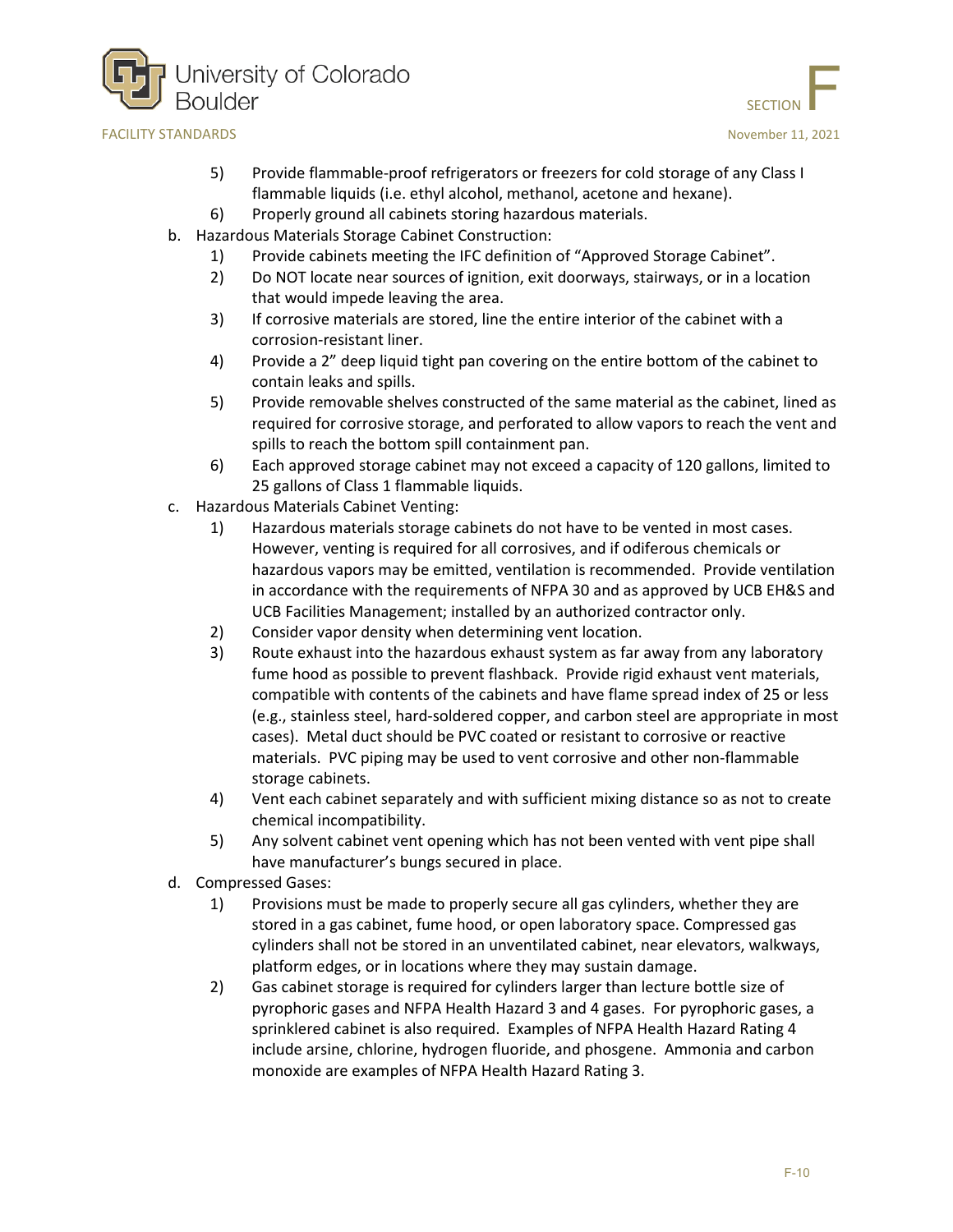



- 5) Provide flammable-proof refrigerators or freezers for cold storage of any Class I flammable liquids (i.e. ethyl alcohol, methanol, acetone and hexane).
- 6) Properly ground all cabinets storing hazardous materials.
- b. Hazardous Materials Storage Cabinet Construction:
	- 1) Provide cabinets meeting the IFC definition of "Approved Storage Cabinet".
	- 2) Do NOT locate near sources of ignition, exit doorways, stairways, or in a location that would impede leaving the area.
	- 3) If corrosive materials are stored, line the entire interior of the cabinet with a corrosion-resistant liner.
	- 4) Provide a 2" deep liquid tight pan covering on the entire bottom of the cabinet to contain leaks and spills.
	- 5) Provide removable shelves constructed of the same material as the cabinet, lined as required for corrosive storage, and perforated to allow vapors to reach the vent and spills to reach the bottom spill containment pan.
	- 6) Each approved storage cabinet may not exceed a capacity of 120 gallons, limited to 25 gallons of Class 1 flammable liquids.
- c. Hazardous Materials Cabinet Venting:
	- 1) Hazardous materials storage cabinets do not have to be vented in most cases. However, venting is required for all corrosives, and if odiferous chemicals or hazardous vapors may be emitted, ventilation is recommended. Provide ventilation in accordance with the requirements of NFPA 30 and as approved by UCB EH&S and UCB Facilities Management; installed by an authorized contractor only.
	- 2) Consider vapor density when determining vent location.
	- 3) Route exhaust into the hazardous exhaust system as far away from any laboratory fume hood as possible to prevent flashback. Provide rigid exhaust vent materials, compatible with contents of the cabinets and have flame spread index of 25 or less (e.g., stainless steel, hard-soldered copper, and carbon steel are appropriate in most cases). Metal duct should be PVC coated or resistant to corrosive or reactive materials. PVC piping may be used to vent corrosive and other non-flammable storage cabinets.
	- 4) Vent each cabinet separately and with sufficient mixing distance so as not to create chemical incompatibility.
	- 5) Any solvent cabinet vent opening which has not been vented with vent pipe shall have manufacturer's bungs secured in place.
- d. Compressed Gases:
	- 1) Provisions must be made to properly secure all gas cylinders, whether they are stored in a gas cabinet, fume hood, or open laboratory space. Compressed gas cylinders shall not be stored in an unventilated cabinet, near elevators, walkways, platform edges, or in locations where they may sustain damage.
	- 2) Gas cabinet storage is required for cylinders larger than lecture bottle size of pyrophoric gases and NFPA Health Hazard 3 and 4 gases. For pyrophoric gases, a sprinklered cabinet is also required. Examples of NFPA Health Hazard Rating 4 include arsine, chlorine, hydrogen fluoride, and phosgene. Ammonia and carbon monoxide are examples of NFPA Health Hazard Rating 3.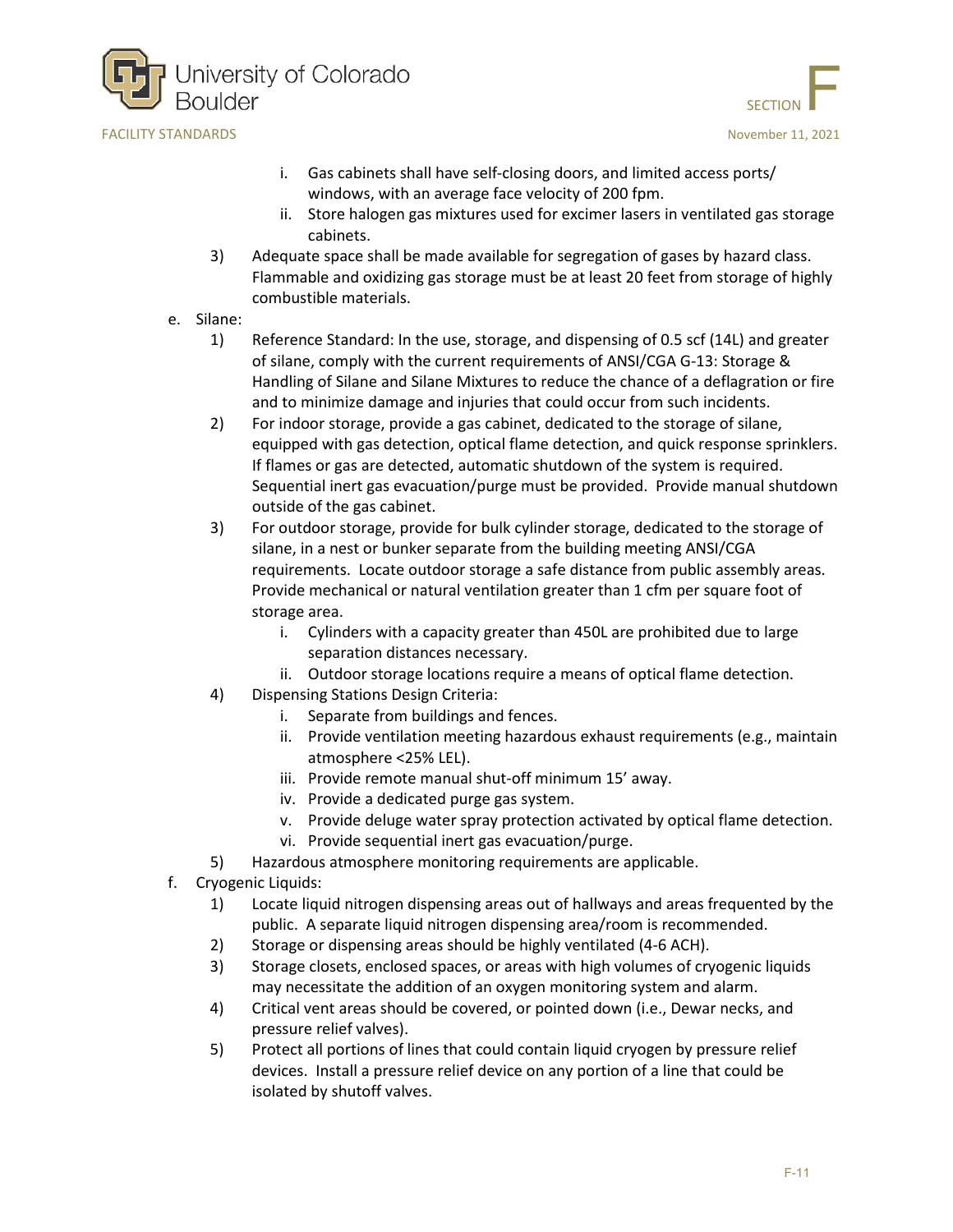



- i. Gas cabinets shall have self-closing doors, and limited access ports/ windows, with an average face velocity of 200 fpm.
- ii. Store halogen gas mixtures used for excimer lasers in ventilated gas storage cabinets.
- 3) Adequate space shall be made available for segregation of gases by hazard class. Flammable and oxidizing gas storage must be at least 20 feet from storage of highly combustible materials.
- e. Silane:
	- 1) Reference Standard: In the use, storage, and dispensing of 0.5 scf (14L) and greater of silane, comply with the current requirements of ANSI/CGA G-13: Storage & Handling of Silane and Silane Mixtures to reduce the chance of a deflagration or fire and to minimize damage and injuries that could occur from such incidents.
	- 2) For indoor storage, provide a gas cabinet, dedicated to the storage of silane, equipped with gas detection, optical flame detection, and quick response sprinklers. If flames or gas are detected, automatic shutdown of the system is required. Sequential inert gas evacuation/purge must be provided. Provide manual shutdown outside of the gas cabinet.
	- 3) For outdoor storage, provide for bulk cylinder storage, dedicated to the storage of silane, in a nest or bunker separate from the building meeting ANSI/CGA requirements. Locate outdoor storage a safe distance from public assembly areas. Provide mechanical or natural ventilation greater than 1 cfm per square foot of storage area.
		- i. Cylinders with a capacity greater than 450L are prohibited due to large separation distances necessary.
		- ii. Outdoor storage locations require a means of optical flame detection.
	- 4) Dispensing Stations Design Criteria:
		- i. Separate from buildings and fences.
		- ii. Provide ventilation meeting hazardous exhaust requirements (e.g., maintain atmosphere <25% LEL).
		- iii. Provide remote manual shut-off minimum 15' away.
		- iv. Provide a dedicated purge gas system.
		- v. Provide deluge water spray protection activated by optical flame detection.
		- vi. Provide sequential inert gas evacuation/purge.
	- 5) Hazardous atmosphere monitoring requirements are applicable.
- f. Cryogenic Liquids:
	- 1) Locate liquid nitrogen dispensing areas out of hallways and areas frequented by the public. A separate liquid nitrogen dispensing area/room is recommended.
	- 2) Storage or dispensing areas should be highly ventilated (4-6 ACH).
	- 3) Storage closets, enclosed spaces, or areas with high volumes of cryogenic liquids may necessitate the addition of an oxygen monitoring system and alarm.
	- 4) Critical vent areas should be covered, or pointed down (i.e., Dewar necks, and pressure relief valves).
	- 5) Protect all portions of lines that could contain liquid cryogen by pressure relief devices. Install a pressure relief device on any portion of a line that could be isolated by shutoff valves.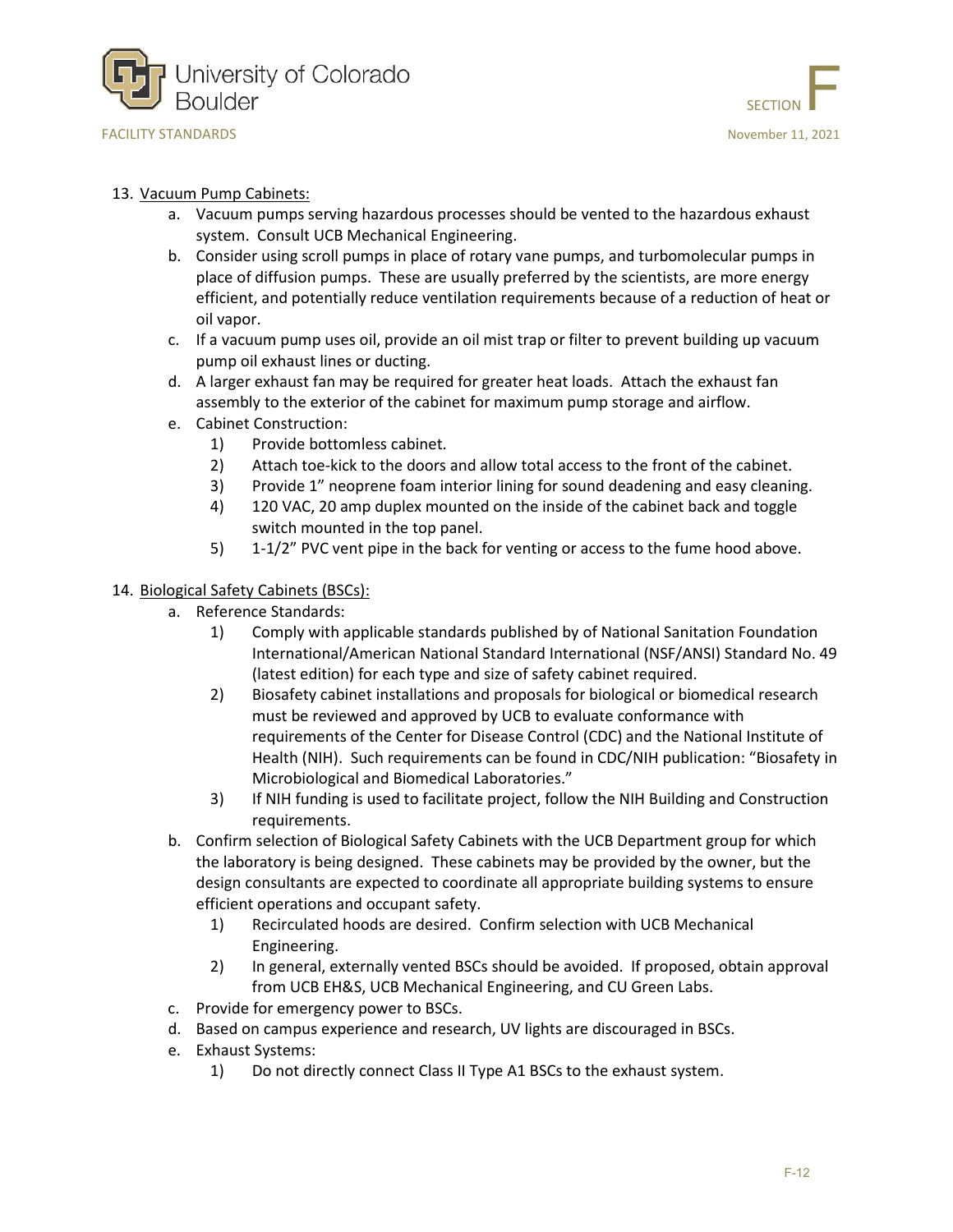





#### 13. Vacuum Pump Cabinets:

- a. Vacuum pumps serving hazardous processes should be vented to the hazardous exhaust system. Consult UCB Mechanical Engineering.
- b. Consider using scroll pumps in place of rotary vane pumps, and turbomolecular pumps in place of diffusion pumps. These are usually preferred by the scientists, are more energy efficient, and potentially reduce ventilation requirements because of a reduction of heat or oil vapor.
- c. If a vacuum pump uses oil, provide an oil mist trap or filter to prevent building up vacuum pump oil exhaust lines or ducting.
- d. A larger exhaust fan may be required for greater heat loads. Attach the exhaust fan assembly to the exterior of the cabinet for maximum pump storage and airflow.
- e. Cabinet Construction:
	- 1) Provide bottomless cabinet.
	- 2) Attach toe-kick to the doors and allow total access to the front of the cabinet.
	- 3) Provide 1" neoprene foam interior lining for sound deadening and easy cleaning.
	- 4) 120 VAC, 20 amp duplex mounted on the inside of the cabinet back and toggle switch mounted in the top panel.
	- 5) 1-1/2" PVC vent pipe in the back for venting or access to the fume hood above.

#### 14. Biological Safety Cabinets (BSCs):

- a. Reference Standards:
	- 1) Comply with applicable standards published by of National Sanitation Foundation International/American National Standard International (NSF/ANSI) Standard No. 49 (latest edition) for each type and size of safety cabinet required.
	- 2) Biosafety cabinet installations and proposals for biological or biomedical research must be reviewed and approved by UCB to evaluate conformance with requirements of the Center for Disease Control (CDC) and the National Institute of Health (NIH). Such requirements can be found in CDC/NIH publication: "Biosafety in Microbiological and Biomedical Laboratories."
	- 3) If NIH funding is used to facilitate project, follow the NIH Building and Construction requirements.
- b. Confirm selection of Biological Safety Cabinets with the UCB Department group for which the laboratory is being designed. These cabinets may be provided by the owner, but the design consultants are expected to coordinate all appropriate building systems to ensure efficient operations and occupant safety.
	- 1) Recirculated hoods are desired. Confirm selection with UCB Mechanical Engineering.
	- 2) In general, externally vented BSCs should be avoided. If proposed, obtain approval from UCB EH&S, UCB Mechanical Engineering, and CU Green Labs.
- c. Provide for emergency power to BSCs.
- d. Based on campus experience and research, UV lights are discouraged in BSCs.
- e. Exhaust Systems:
	- 1) Do not directly connect Class II Type A1 BSCs to the exhaust system.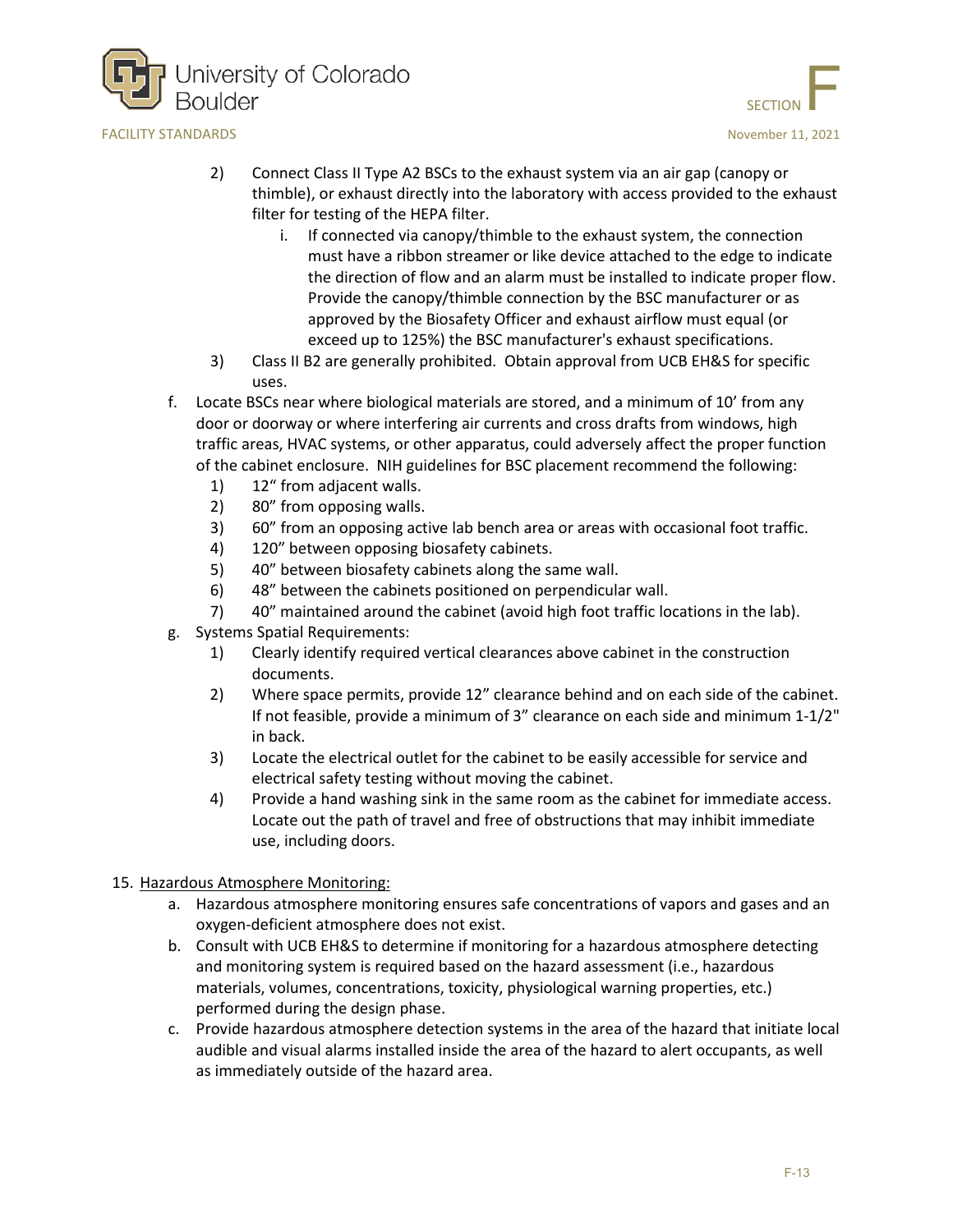



- 2) Connect Class II Type A2 BSCs to the exhaust system via an air gap (canopy or thimble), or exhaust directly into the laboratory with access provided to the exhaust filter for testing of the HEPA filter.
	- i. If connected via canopy/thimble to the exhaust system, the connection must have a ribbon streamer or like device attached to the edge to indicate the direction of flow and an alarm must be installed to indicate proper flow. Provide the canopy/thimble connection by the BSC manufacturer or as approved by the Biosafety Officer and exhaust airflow must equal (or exceed up to 125%) the BSC manufacturer's exhaust specifications.
- 3) Class II B2 are generally prohibited. Obtain approval from UCB EH&S for specific uses.
- f. Locate BSCs near where biological materials are stored, and a minimum of 10' from any door or doorway or where interfering air currents and cross drafts from windows, high traffic areas, HVAC systems, or other apparatus, could adversely affect the proper function of the cabinet enclosure. NIH guidelines for BSC placement recommend the following:
	- 1) 12" from adjacent walls.
	- 2) 80" from opposing walls.
	- 3) 60" from an opposing active lab bench area or areas with occasional foot traffic.
	- 4) 120" between opposing biosafety cabinets.
	- 5) 40" between biosafety cabinets along the same wall.
	- 6) 48" between the cabinets positioned on perpendicular wall.
	- 7) 40" maintained around the cabinet (avoid high foot traffic locations in the lab).
- g. Systems Spatial Requirements:
	- 1) Clearly identify required vertical clearances above cabinet in the construction documents.
	- 2) Where space permits, provide 12" clearance behind and on each side of the cabinet. If not feasible, provide a minimum of 3" clearance on each side and minimum 1-1/2" in back.
	- 3) Locate the electrical outlet for the cabinet to be easily accessible for service and electrical safety testing without moving the cabinet.
	- 4) Provide a hand washing sink in the same room as the cabinet for immediate access. Locate out the path of travel and free of obstructions that may inhibit immediate use, including doors.

### 15. Hazardous Atmosphere Monitoring:

- a. Hazardous atmosphere monitoring ensures safe concentrations of vapors and gases and an oxygen-deficient atmosphere does not exist.
- b. Consult with UCB EH&S to determine if monitoring for a hazardous atmosphere detecting and monitoring system is required based on the hazard assessment (i.e., hazardous materials, volumes, concentrations, toxicity, physiological warning properties, etc.) performed during the design phase.
- c. Provide hazardous atmosphere detection systems in the area of the hazard that initiate local audible and visual alarms installed inside the area of the hazard to alert occupants, as well as immediately outside of the hazard area.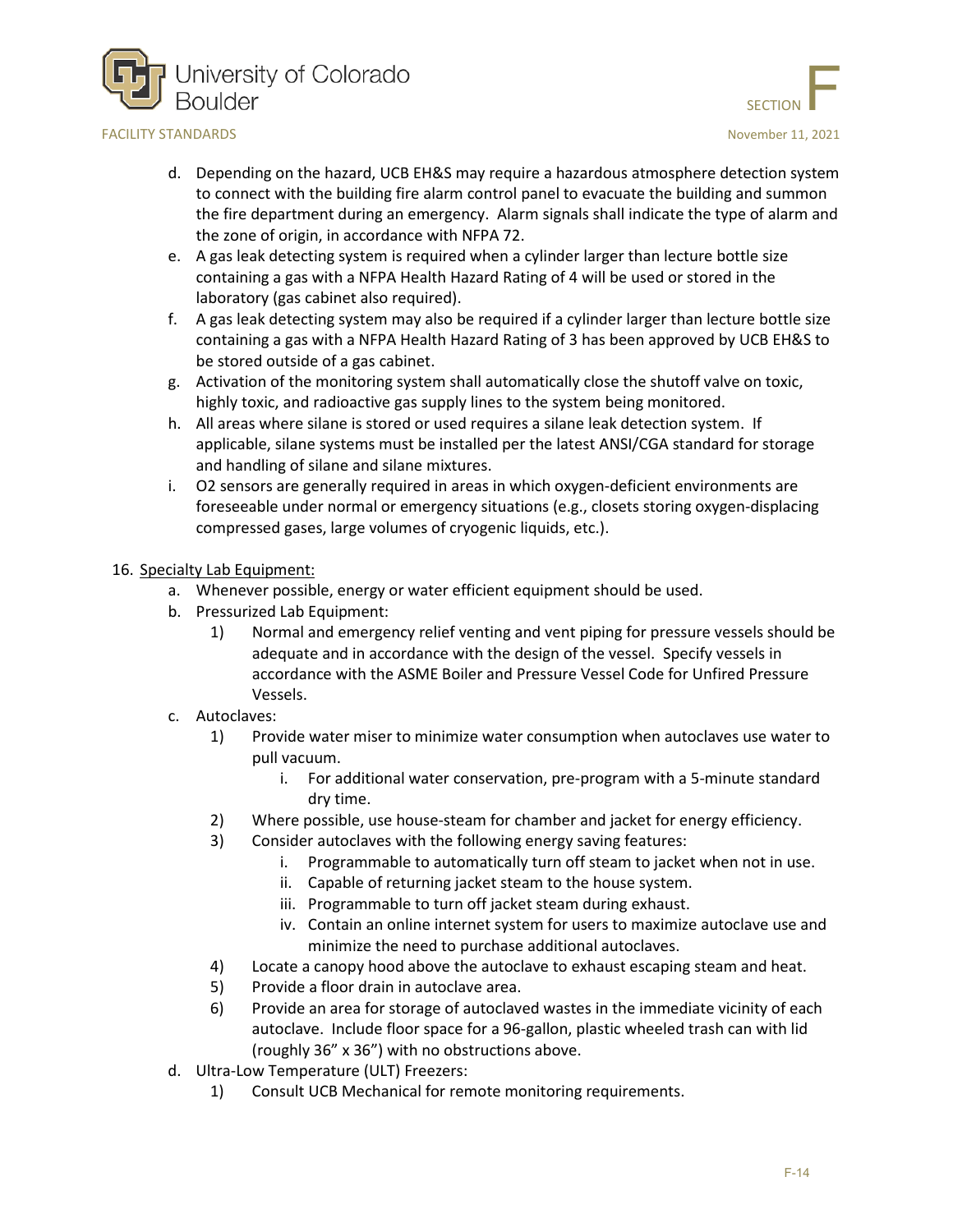



- d. Depending on the hazard, UCB EH&S may require a hazardous atmosphere detection system to connect with the building fire alarm control panel to evacuate the building and summon the fire department during an emergency. Alarm signals shall indicate the type of alarm and the zone of origin, in accordance with NFPA 72.
- e. A gas leak detecting system is required when a cylinder larger than lecture bottle size containing a gas with a NFPA Health Hazard Rating of 4 will be used or stored in the laboratory (gas cabinet also required).
- f. A gas leak detecting system may also be required if a cylinder larger than lecture bottle size containing a gas with a NFPA Health Hazard Rating of 3 has been approved by UCB EH&S to be stored outside of a gas cabinet.
- g. Activation of the monitoring system shall automatically close the shutoff valve on toxic, highly toxic, and radioactive gas supply lines to the system being monitored.
- h. All areas where silane is stored or used requires a silane leak detection system. If applicable, silane systems must be installed per the latest ANSI/CGA standard for storage and handling of silane and silane mixtures.
- i. O2 sensors are generally required in areas in which oxygen-deficient environments are foreseeable under normal or emergency situations (e.g., closets storing oxygen-displacing compressed gases, large volumes of cryogenic liquids, etc.).

#### 16. Specialty Lab Equipment:

- a. Whenever possible, energy or water efficient equipment should be used.
- b. Pressurized Lab Equipment:
	- 1) Normal and emergency relief venting and vent piping for pressure vessels should be adequate and in accordance with the design of the vessel. Specify vessels in accordance with the ASME Boiler and Pressure Vessel Code for Unfired Pressure Vessels.
- c. Autoclaves:
	- 1) Provide water miser to minimize water consumption when autoclaves use water to pull vacuum.
		- i. For additional water conservation, pre-program with a 5-minute standard dry time.
	- 2) Where possible, use house-steam for chamber and jacket for energy efficiency.
	- 3) Consider autoclaves with the following energy saving features:
		- i. Programmable to automatically turn off steam to jacket when not in use.
		- ii. Capable of returning jacket steam to the house system.
		- iii. Programmable to turn off jacket steam during exhaust.
		- iv. Contain an online internet system for users to maximize autoclave use and minimize the need to purchase additional autoclaves.
	- 4) Locate a canopy hood above the autoclave to exhaust escaping steam and heat.
	- 5) Provide a floor drain in autoclave area.
	- 6) Provide an area for storage of autoclaved wastes in the immediate vicinity of each autoclave. Include floor space for a 96-gallon, plastic wheeled trash can with lid (roughly 36" x 36") with no obstructions above.
- d. Ultra-Low Temperature (ULT) Freezers:
	- 1) Consult UCB Mechanical for remote monitoring requirements.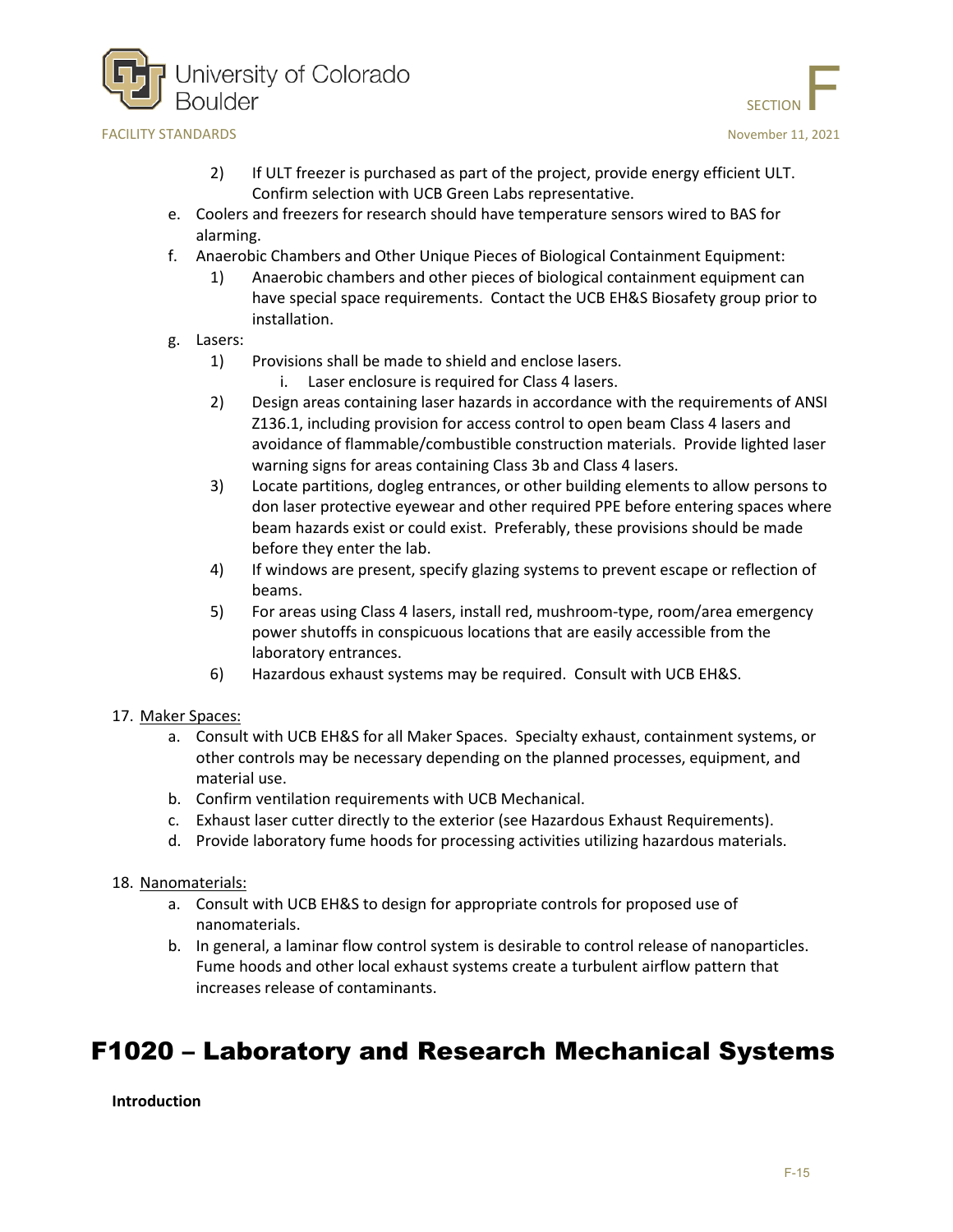



- 2) If ULT freezer is purchased as part of the project, provide energy efficient ULT. Confirm selection with UCB Green Labs representative.
- e. Coolers and freezers for research should have temperature sensors wired to BAS for alarming.
- f. Anaerobic Chambers and Other Unique Pieces of Biological Containment Equipment:
	- 1) Anaerobic chambers and other pieces of biological containment equipment can have special space requirements. Contact the UCB EH&S Biosafety group prior to installation.
- g. Lasers:
	- 1) Provisions shall be made to shield and enclose lasers.
		- i. Laser enclosure is required for Class 4 lasers.
	- 2) Design areas containing laser hazards in accordance with the requirements of ANSI Z136.1, including provision for access control to open beam Class 4 lasers and avoidance of flammable/combustible construction materials. Provide lighted laser warning signs for areas containing Class 3b and Class 4 lasers.
	- 3) Locate partitions, dogleg entrances, or other building elements to allow persons to don laser protective eyewear and other required PPE before entering spaces where beam hazards exist or could exist. Preferably, these provisions should be made before they enter the lab.
	- 4) If windows are present, specify glazing systems to prevent escape or reflection of beams.
	- 5) For areas using Class 4 lasers, install red, mushroom-type, room/area emergency power shutoffs in conspicuous locations that are easily accessible from the laboratory entrances.
	- 6) Hazardous exhaust systems may be required. Consult with UCB EH&S.

#### 17. Maker Spaces:

- a. Consult with UCB EH&S for all Maker Spaces. Specialty exhaust, containment systems, or other controls may be necessary depending on the planned processes, equipment, and material use.
- b. Confirm ventilation requirements with UCB Mechanical.
- c. Exhaust laser cutter directly to the exterior (see Hazardous Exhaust Requirements).
- d. Provide laboratory fume hoods for processing activities utilizing hazardous materials.

#### 18. Nanomaterials:

- a. Consult with UCB EH&S to design for appropriate controls for proposed use of nanomaterials.
- b. In general, a laminar flow control system is desirable to control release of nanoparticles. Fume hoods and other local exhaust systems create a turbulent airflow pattern that increases release of contaminants.

## <span id="page-14-0"></span>F1020 – Laboratory and Research Mechanical Systems

**Introduction**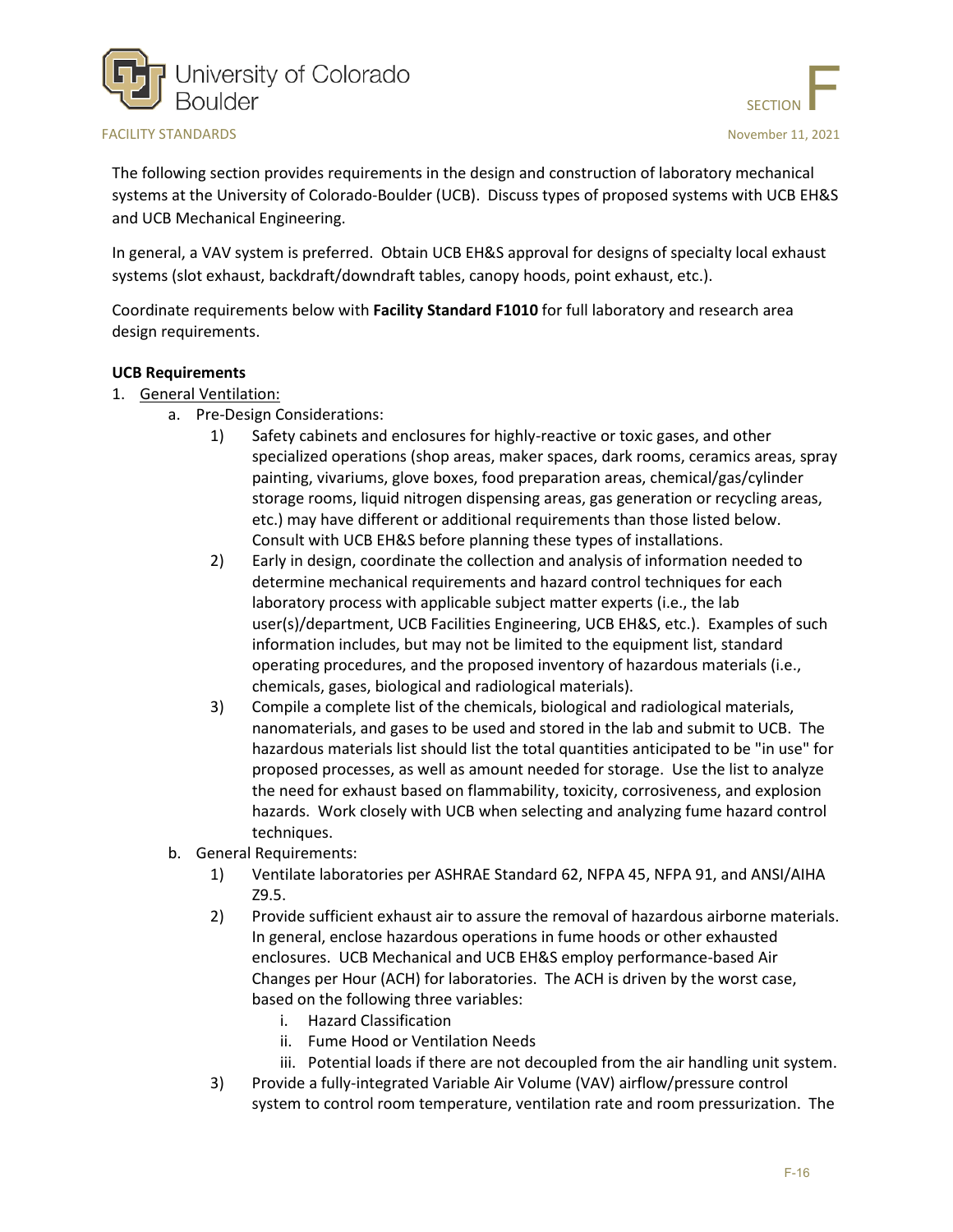



The following section provides requirements in the design and construction of laboratory mechanical systems at the University of Colorado-Boulder (UCB). Discuss types of proposed systems with UCB EH&S and UCB Mechanical Engineering.

In general, a VAV system is preferred. Obtain UCB EH&S approval for designs of specialty local exhaust systems (slot exhaust, backdraft/downdraft tables, canopy hoods, point exhaust, etc.).

Coordinate requirements below with **Facility Standard F1010** for full laboratory and research area design requirements.

#### **UCB Requirements**

- 1. General Ventilation:
	- a. Pre-Design Considerations:
		- 1) Safety cabinets and enclosures for highly-reactive or toxic gases, and other specialized operations (shop areas, maker spaces, dark rooms, ceramics areas, spray painting, vivariums, glove boxes, food preparation areas, chemical/gas/cylinder storage rooms, liquid nitrogen dispensing areas, gas generation or recycling areas, etc.) may have different or additional requirements than those listed below. Consult with UCB EH&S before planning these types of installations.
		- 2) Early in design, coordinate the collection and analysis of information needed to determine mechanical requirements and hazard control techniques for each laboratory process with applicable subject matter experts (i.e., the lab user(s)/department, UCB Facilities Engineering, UCB EH&S, etc.). Examples of such information includes, but may not be limited to the equipment list, standard operating procedures, and the proposed inventory of hazardous materials (i.e., chemicals, gases, biological and radiological materials).
		- 3) Compile a complete list of the chemicals, biological and radiological materials, nanomaterials, and gases to be used and stored in the lab and submit to UCB. The hazardous materials list should list the total quantities anticipated to be "in use" for proposed processes, as well as amount needed for storage. Use the list to analyze the need for exhaust based on flammability, toxicity, corrosiveness, and explosion hazards. Work closely with UCB when selecting and analyzing fume hazard control techniques.
	- b. General Requirements:
		- 1) Ventilate laboratories per ASHRAE Standard 62, NFPA 45, NFPA 91, and ANSI/AIHA Z9.5.
		- 2) Provide sufficient exhaust air to assure the removal of hazardous airborne materials. In general, enclose hazardous operations in fume hoods or other exhausted enclosures. UCB Mechanical and UCB EH&S employ performance-based Air Changes per Hour (ACH) for laboratories. The ACH is driven by the worst case, based on the following three variables:
			- i. Hazard Classification
			- ii. Fume Hood or Ventilation Needs
			- iii. Potential loads if there are not decoupled from the air handling unit system.
		- 3) Provide a fully-integrated Variable Air Volume (VAV) airflow/pressure control system to control room temperature, ventilation rate and room pressurization. The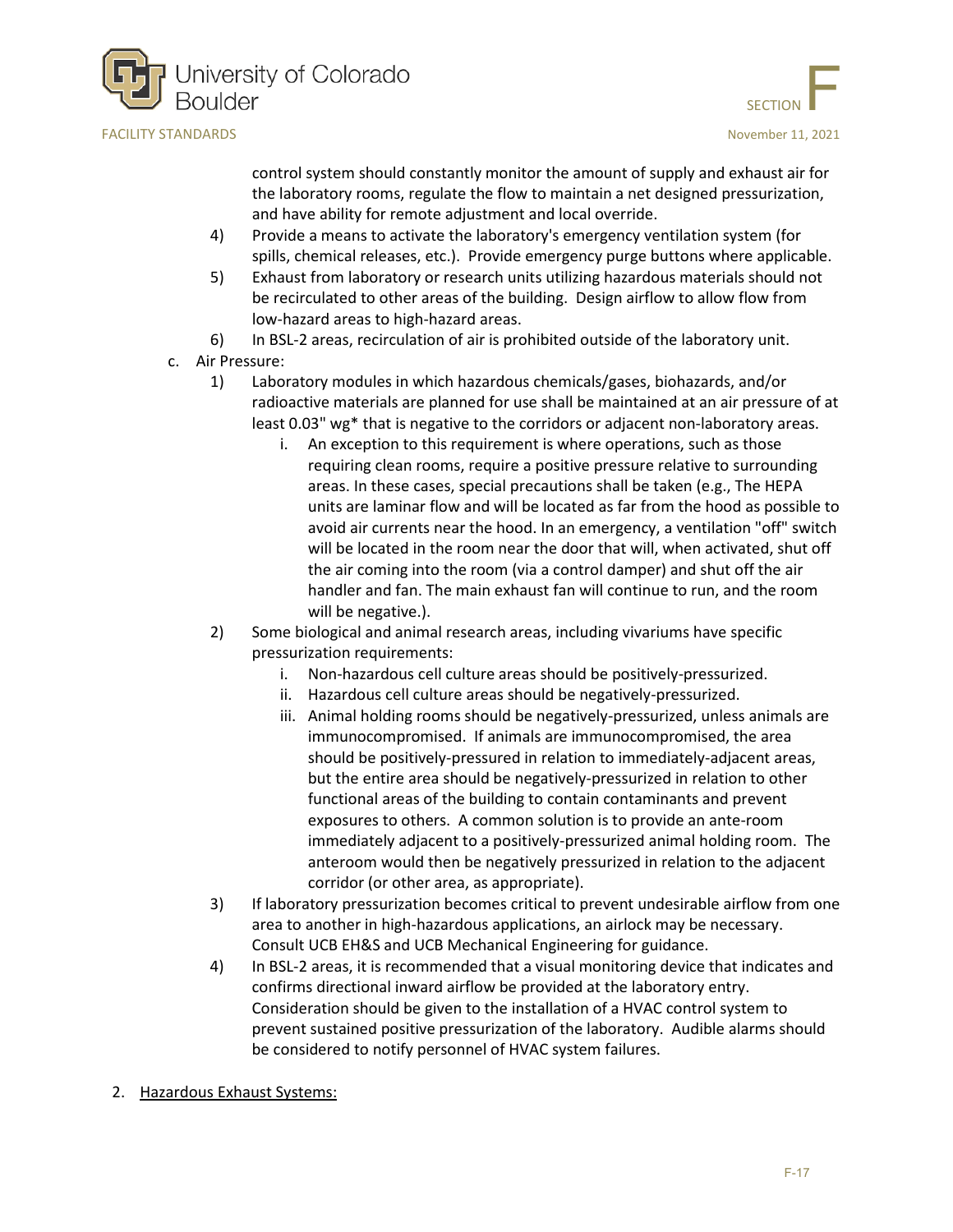



control system should constantly monitor the amount of supply and exhaust air for the laboratory rooms, regulate the flow to maintain a net designed pressurization, and have ability for remote adjustment and local override.

- 4) Provide a means to activate the laboratory's emergency ventilation system (for spills, chemical releases, etc.). Provide emergency purge buttons where applicable.
- 5) Exhaust from laboratory or research units utilizing hazardous materials should not be recirculated to other areas of the building. Design airflow to allow flow from low-hazard areas to high-hazard areas.
- 6) In BSL-2 areas, recirculation of air is prohibited outside of the laboratory unit.
- c. Air Pressure:
	- 1) Laboratory modules in which hazardous chemicals/gases, biohazards, and/or radioactive materials are planned for use shall be maintained at an air pressure of at least 0.03" wg\* that is negative to the corridors or adjacent non-laboratory areas.
		- i. An exception to this requirement is where operations, such as those requiring clean rooms, require a positive pressure relative to surrounding areas. In these cases, special precautions shall be taken (e.g., The HEPA units are laminar flow and will be located as far from the hood as possible to avoid air currents near the hood. In an emergency, a ventilation "off" switch will be located in the room near the door that will, when activated, shut off the air coming into the room (via a control damper) and shut off the air handler and fan. The main exhaust fan will continue to run, and the room will be negative.).
	- 2) Some biological and animal research areas, including vivariums have specific pressurization requirements:
		- i. Non-hazardous cell culture areas should be positively-pressurized.
		- ii. Hazardous cell culture areas should be negatively-pressurized.
		- iii. Animal holding rooms should be negatively-pressurized, unless animals are immunocompromised. If animals are immunocompromised, the area should be positively-pressured in relation to immediately-adjacent areas, but the entire area should be negatively-pressurized in relation to other functional areas of the building to contain contaminants and prevent exposures to others. A common solution is to provide an ante-room immediately adjacent to a positively-pressurized animal holding room. The anteroom would then be negatively pressurized in relation to the adjacent corridor (or other area, as appropriate).
	- 3) If laboratory pressurization becomes critical to prevent undesirable airflow from one area to another in high-hazardous applications, an airlock may be necessary. Consult UCB EH&S and UCB Mechanical Engineering for guidance.
	- 4) In BSL-2 areas, it is recommended that a visual monitoring device that indicates and confirms directional inward airflow be provided at the laboratory entry. Consideration should be given to the installation of a HVAC control system to prevent sustained positive pressurization of the laboratory. Audible alarms should be considered to notify personnel of HVAC system failures.
- 2. Hazardous Exhaust Systems: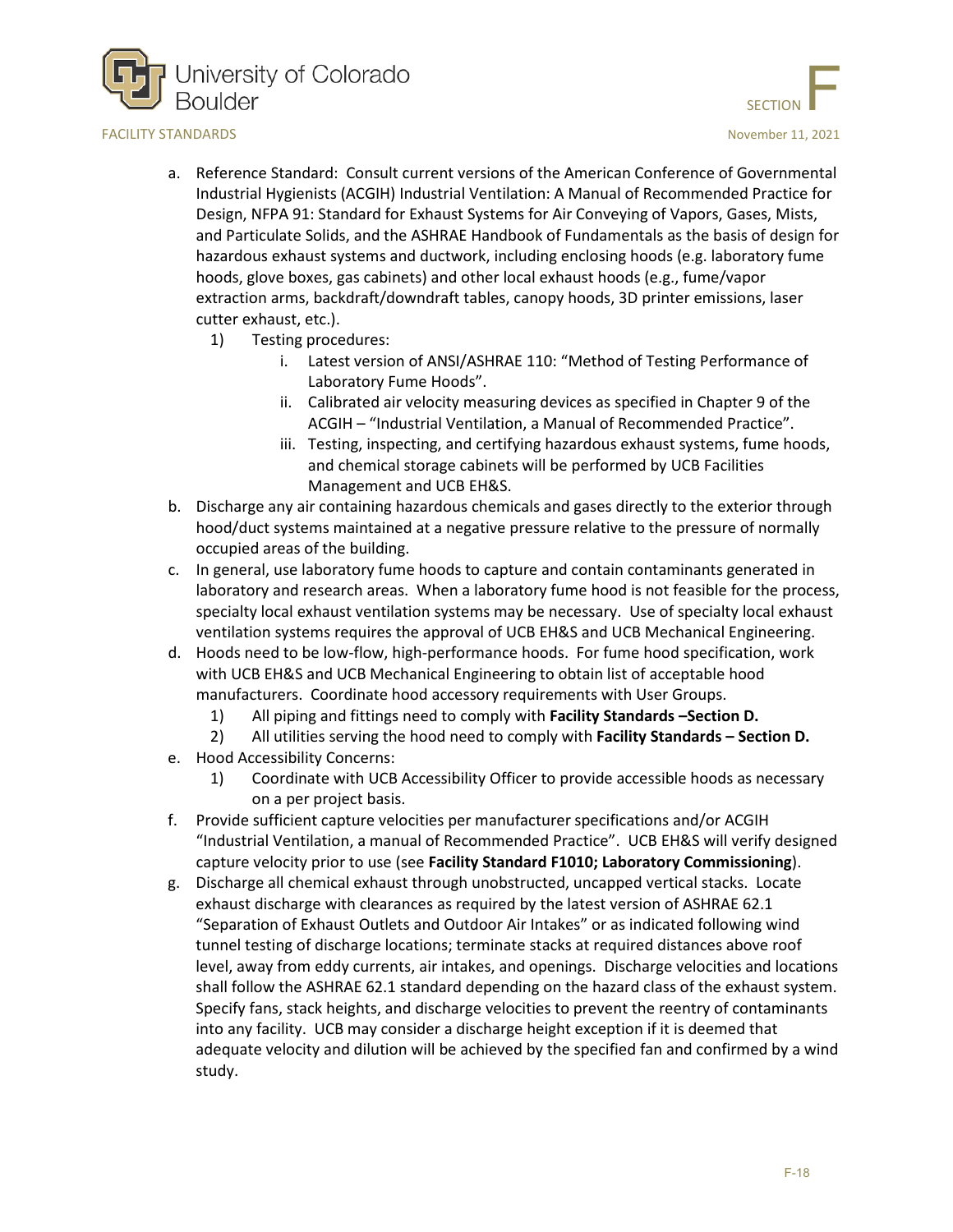

- a. Reference Standard: Consult current versions of the American Conference of Governmental Industrial Hygienists (ACGIH) Industrial Ventilation: A Manual of Recommended Practice for Design, NFPA 91: Standard for Exhaust Systems for Air Conveying of Vapors, Gases, Mists, and Particulate Solids, and the ASHRAE Handbook of Fundamentals as the basis of design for hazardous exhaust systems and ductwork, including enclosing hoods (e.g. laboratory fume hoods, glove boxes, gas cabinets) and other local exhaust hoods (e.g., fume/vapor extraction arms, backdraft/downdraft tables, canopy hoods, 3D printer emissions, laser cutter exhaust, etc.).
	- 1) Testing procedures:
		- i. Latest version of ANSI/ASHRAE 110: "Method of Testing Performance of Laboratory Fume Hoods".
		- ii. Calibrated air velocity measuring devices as specified in Chapter 9 of the ACGIH – "Industrial Ventilation, a Manual of Recommended Practice".
		- iii. Testing, inspecting, and certifying hazardous exhaust systems, fume hoods, and chemical storage cabinets will be performed by UCB Facilities Management and UCB EH&S.
- b. Discharge any air containing hazardous chemicals and gases directly to the exterior through hood/duct systems maintained at a negative pressure relative to the pressure of normally occupied areas of the building.
- c. In general, use laboratory fume hoods to capture and contain contaminants generated in laboratory and research areas. When a laboratory fume hood is not feasible for the process, specialty local exhaust ventilation systems may be necessary. Use of specialty local exhaust ventilation systems requires the approval of UCB EH&S and UCB Mechanical Engineering.
- d. Hoods need to be low-flow, high-performance hoods. For fume hood specification, work with UCB EH&S and UCB Mechanical Engineering to obtain list of acceptable hood manufacturers. Coordinate hood accessory requirements with User Groups.
	- 1) All piping and fittings need to comply with **Facility Standards –Section D.**
	- 2) All utilities serving the hood need to comply with **Facility Standards – Section D.**
- e. Hood Accessibility Concerns:
	- 1) Coordinate with UCB Accessibility Officer to provide accessible hoods as necessary on a per project basis.
- f. Provide sufficient capture velocities per manufacturer specifications and/or ACGIH "Industrial Ventilation, a manual of Recommended Practice". UCB EH&S will verify designed capture velocity prior to use (see **Facility Standard F1010; Laboratory Commissioning**).
- g. Discharge all chemical exhaust through unobstructed, uncapped vertical stacks. Locate exhaust discharge with clearances as required by the latest version of ASHRAE 62.1 "Separation of Exhaust Outlets and Outdoor Air Intakes" or as indicated following wind tunnel testing of discharge locations; terminate stacks at required distances above roof level, away from eddy currents, air intakes, and openings. Discharge velocities and locations shall follow the ASHRAE 62.1 standard depending on the hazard class of the exhaust system. Specify fans, stack heights, and discharge velocities to prevent the reentry of contaminants into any facility. UCB may consider a discharge height exception if it is deemed that adequate velocity and dilution will be achieved by the specified fan and confirmed by a wind study.

SECTION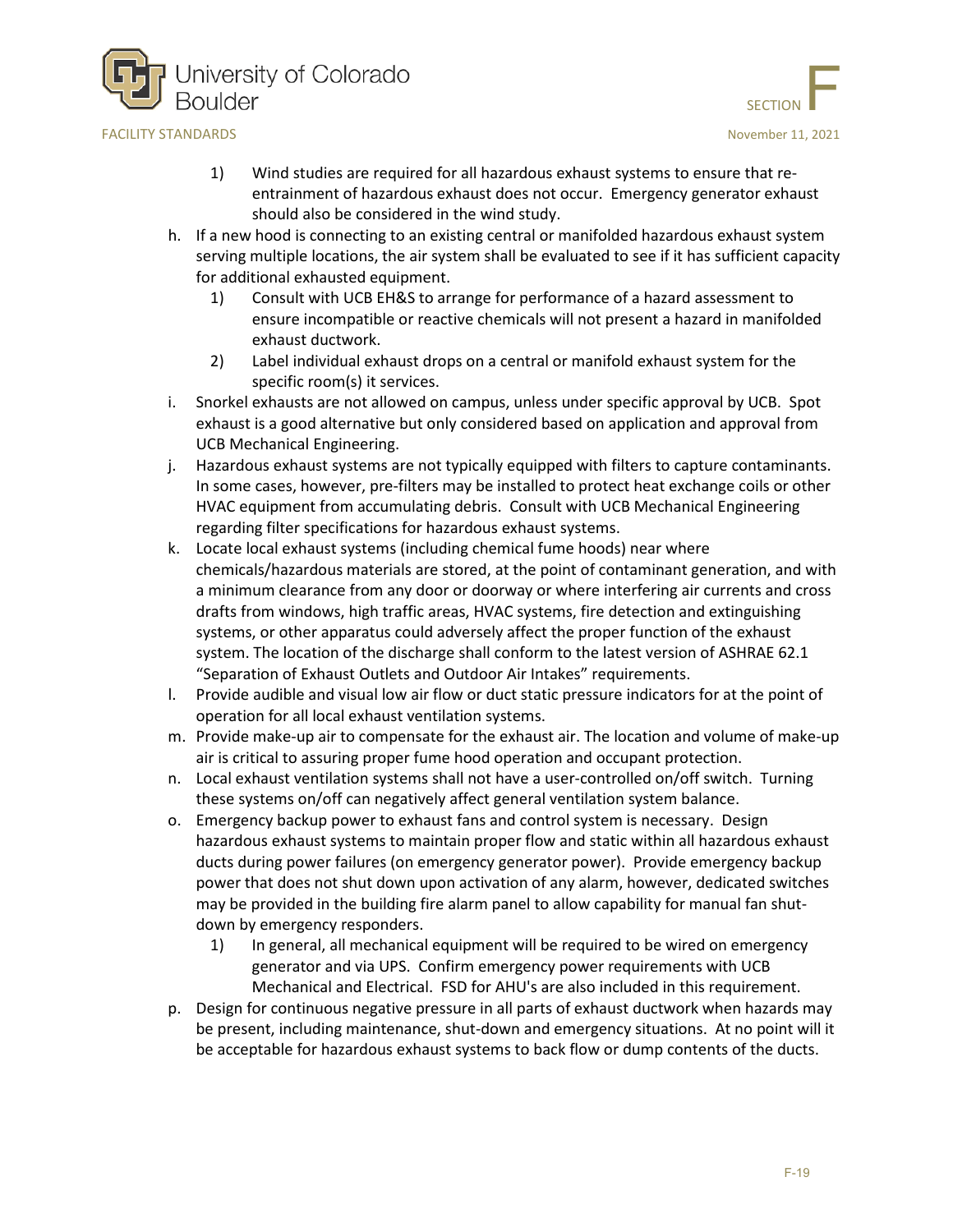



- 1) Wind studies are required for all hazardous exhaust systems to ensure that reentrainment of hazardous exhaust does not occur. Emergency generator exhaust should also be considered in the wind study.
- h. If a new hood is connecting to an existing central or manifolded hazardous exhaust system serving multiple locations, the air system shall be evaluated to see if it has sufficient capacity for additional exhausted equipment.
	- 1) Consult with UCB EH&S to arrange for performance of a hazard assessment to ensure incompatible or reactive chemicals will not present a hazard in manifolded exhaust ductwork.
	- 2) Label individual exhaust drops on a central or manifold exhaust system for the specific room(s) it services.
- i. Snorkel exhausts are not allowed on campus, unless under specific approval by UCB. Spot exhaust is a good alternative but only considered based on application and approval from UCB Mechanical Engineering.
- j. Hazardous exhaust systems are not typically equipped with filters to capture contaminants. In some cases, however, pre-filters may be installed to protect heat exchange coils or other HVAC equipment from accumulating debris. Consult with UCB Mechanical Engineering regarding filter specifications for hazardous exhaust systems.
- k. Locate local exhaust systems (including chemical fume hoods) near where chemicals/hazardous materials are stored, at the point of contaminant generation, and with a minimum clearance from any door or doorway or where interfering air currents and cross drafts from windows, high traffic areas, HVAC systems, fire detection and extinguishing systems, or other apparatus could adversely affect the proper function of the exhaust system. The location of the discharge shall conform to the latest version of ASHRAE 62.1 "Separation of Exhaust Outlets and Outdoor Air Intakes" requirements.
- l. Provide audible and visual low air flow or duct static pressure indicators for at the point of operation for all local exhaust ventilation systems.
- m. Provide make-up air to compensate for the exhaust air. The location and volume of make-up air is critical to assuring proper fume hood operation and occupant protection.
- n. Local exhaust ventilation systems shall not have a user-controlled on/off switch. Turning these systems on/off can negatively affect general ventilation system balance.
- o. Emergency backup power to exhaust fans and control system is necessary. Design hazardous exhaust systems to maintain proper flow and static within all hazardous exhaust ducts during power failures (on emergency generator power). Provide emergency backup power that does not shut down upon activation of any alarm, however, dedicated switches may be provided in the building fire alarm panel to allow capability for manual fan shutdown by emergency responders.
	- 1) In general, all mechanical equipment will be required to be wired on emergency generator and via UPS. Confirm emergency power requirements with UCB Mechanical and Electrical. FSD for AHU's are also included in this requirement.
- p. Design for continuous negative pressure in all parts of exhaust ductwork when hazards may be present, including maintenance, shut-down and emergency situations. At no point will it be acceptable for hazardous exhaust systems to back flow or dump contents of the ducts.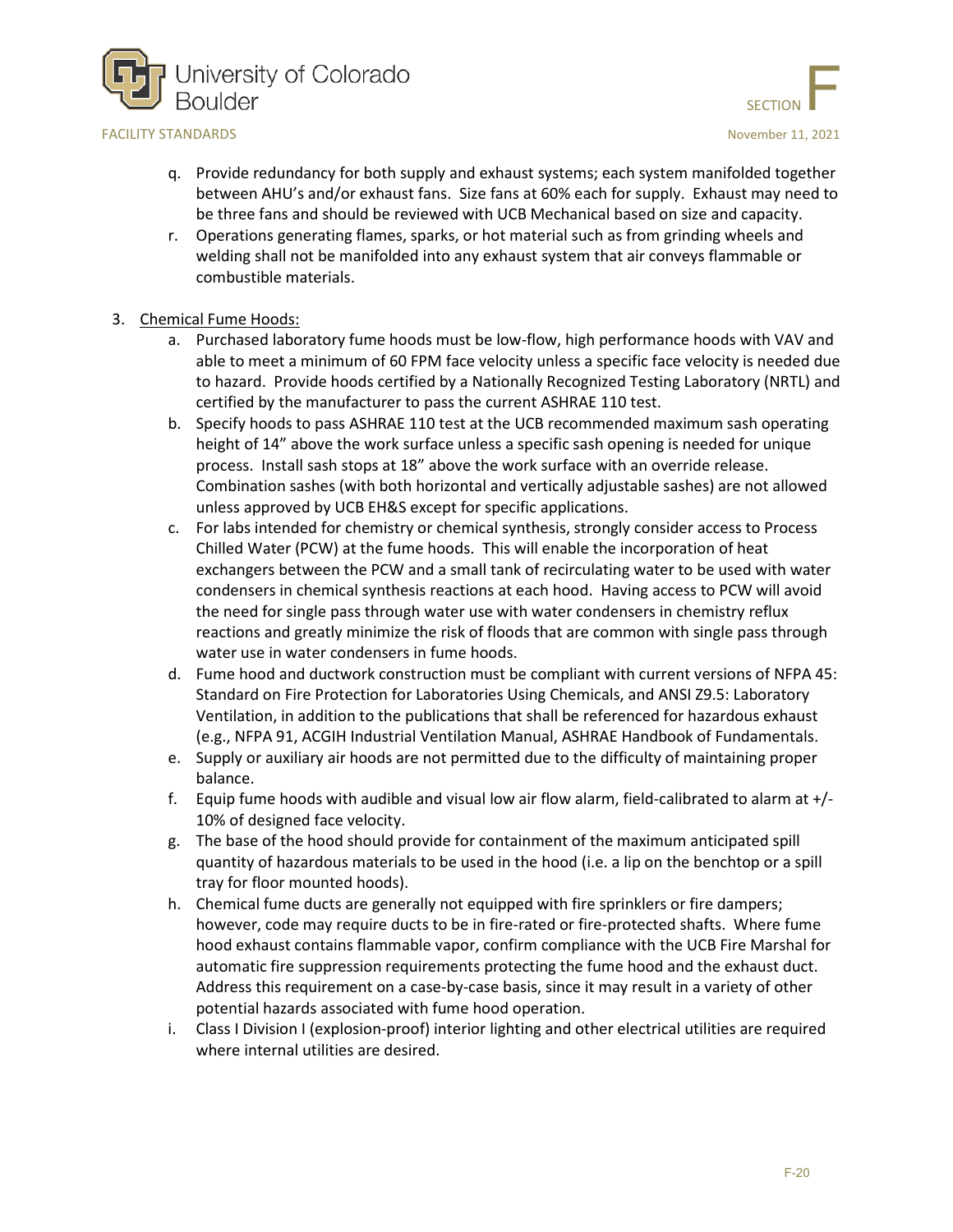



- q. Provide redundancy for both supply and exhaust systems; each system manifolded together between AHU's and/or exhaust fans. Size fans at 60% each for supply. Exhaust may need to be three fans and should be reviewed with UCB Mechanical based on size and capacity.
- r. Operations generating flames, sparks, or hot material such as from grinding wheels and welding shall not be manifolded into any exhaust system that air conveys flammable or combustible materials.
- 3. Chemical Fume Hoods:
	- a. Purchased laboratory fume hoods must be low-flow, high performance hoods with VAV and able to meet a minimum of 60 FPM face velocity unless a specific face velocity is needed due to hazard. Provide hoods certified by a Nationally Recognized Testing Laboratory (NRTL) and certified by the manufacturer to pass the current ASHRAE 110 test.
	- b. Specify hoods to pass ASHRAE 110 test at the UCB recommended maximum sash operating height of 14" above the work surface unless a specific sash opening is needed for unique process. Install sash stops at 18" above the work surface with an override release. Combination sashes (with both horizontal and vertically adjustable sashes) are not allowed unless approved by UCB EH&S except for specific applications.
	- c. For labs intended for chemistry or chemical synthesis, strongly consider access to Process Chilled Water (PCW) at the fume hoods. This will enable the incorporation of heat exchangers between the PCW and a small tank of recirculating water to be used with water condensers in chemical synthesis reactions at each hood. Having access to PCW will avoid the need for single pass through water use with water condensers in chemistry reflux reactions and greatly minimize the risk of floods that are common with single pass through water use in water condensers in fume hoods.
	- d. Fume hood and ductwork construction must be compliant with current versions of NFPA 45: Standard on Fire Protection for Laboratories Using Chemicals, and ANSI Z9.5: Laboratory Ventilation, in addition to the publications that shall be referenced for hazardous exhaust (e.g., NFPA 91, ACGIH Industrial Ventilation Manual, ASHRAE Handbook of Fundamentals.
	- e. Supply or auxiliary air hoods are not permitted due to the difficulty of maintaining proper balance.
	- f. Equip fume hoods with audible and visual low air flow alarm, field-calibrated to alarm at +/- 10% of designed face velocity.
	- g. The base of the hood should provide for containment of the maximum anticipated spill quantity of hazardous materials to be used in the hood (i.e. a lip on the benchtop or a spill tray for floor mounted hoods).
	- h. Chemical fume ducts are generally not equipped with fire sprinklers or fire dampers; however, code may require ducts to be in fire-rated or fire-protected shafts. Where fume hood exhaust contains flammable vapor, confirm compliance with the UCB Fire Marshal for automatic fire suppression requirements protecting the fume hood and the exhaust duct. Address this requirement on a case-by-case basis, since it may result in a variety of other potential hazards associated with fume hood operation.
	- i. Class I Division I (explosion-proof) interior lighting and other electrical utilities are required where internal utilities are desired.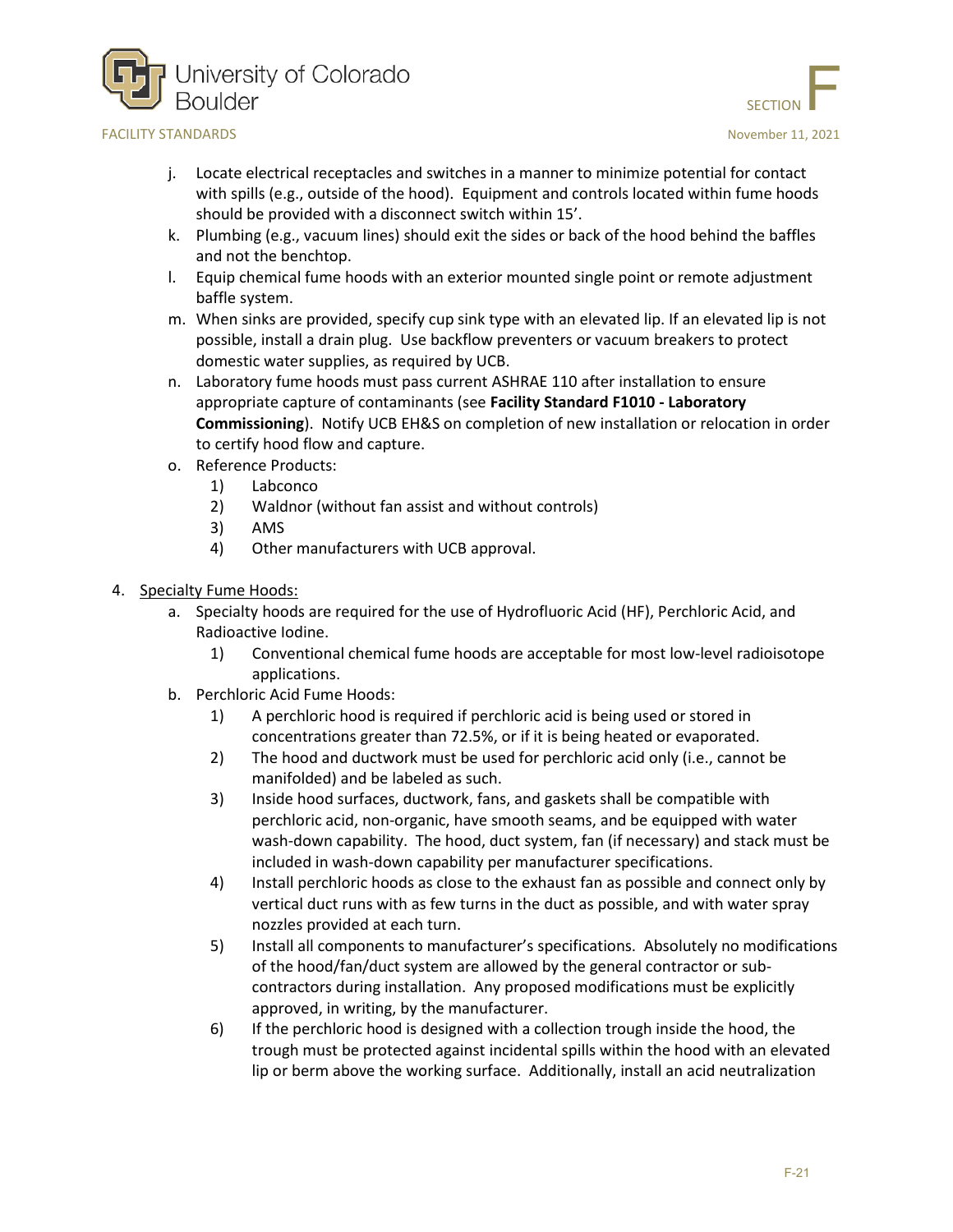

- SECTION
- j. Locate electrical receptacles and switches in a manner to minimize potential for contact with spills (e.g., outside of the hood). Equipment and controls located within fume hoods should be provided with a disconnect switch within 15'.
- k. Plumbing (e.g., vacuum lines) should exit the sides or back of the hood behind the baffles and not the benchtop.
- l. Equip chemical fume hoods with an exterior mounted single point or remote adjustment baffle system.
- m. When sinks are provided, specify cup sink type with an elevated lip. If an elevated lip is not possible, install a drain plug. Use backflow preventers or vacuum breakers to protect domestic water supplies, as required by UCB.
- n. Laboratory fume hoods must pass current ASHRAE 110 after installation to ensure appropriate capture of contaminants (see **Facility Standard F1010 - Laboratory Commissioning**). Notify UCB EH&S on completion of new installation or relocation in order to certify hood flow and capture.
- o. Reference Products:
	- 1) Labconco
	- 2) Waldnor (without fan assist and without controls)
	- 3) AMS
	- 4) Other manufacturers with UCB approval.
- 4. Specialty Fume Hoods:
	- a. Specialty hoods are required for the use of Hydrofluoric Acid (HF), Perchloric Acid, and Radioactive Iodine.
		- 1) Conventional chemical fume hoods are acceptable for most low-level radioisotope applications.
	- b. Perchloric Acid Fume Hoods:
		- 1) A perchloric hood is required if perchloric acid is being used or stored in concentrations greater than 72.5%, or if it is being heated or evaporated.
		- 2) The hood and ductwork must be used for perchloric acid only (i.e., cannot be manifolded) and be labeled as such.
		- 3) Inside hood surfaces, ductwork, fans, and gaskets shall be compatible with perchloric acid, non-organic, have smooth seams, and be equipped with water wash-down capability. The hood, duct system, fan (if necessary) and stack must be included in wash-down capability per manufacturer specifications.
		- 4) Install perchloric hoods as close to the exhaust fan as possible and connect only by vertical duct runs with as few turns in the duct as possible, and with water spray nozzles provided at each turn.
		- 5) Install all components to manufacturer's specifications. Absolutely no modifications of the hood/fan/duct system are allowed by the general contractor or subcontractors during installation. Any proposed modifications must be explicitly approved, in writing, by the manufacturer.
		- 6) If the perchloric hood is designed with a collection trough inside the hood, the trough must be protected against incidental spills within the hood with an elevated lip or berm above the working surface. Additionally, install an acid neutralization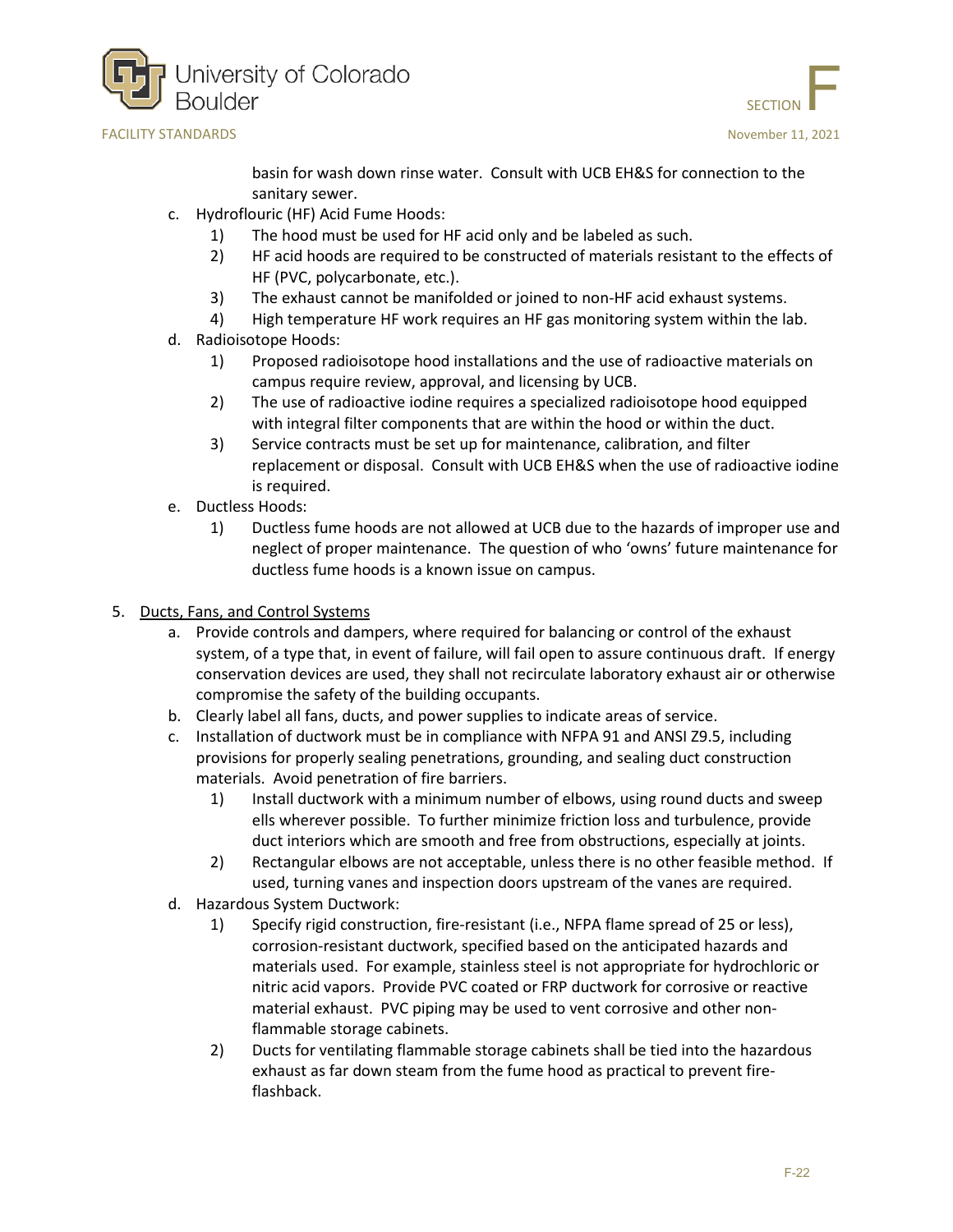





basin for wash down rinse water. Consult with UCB EH&S for connection to the sanitary sewer.

- c. Hydroflouric (HF) Acid Fume Hoods:
	- 1) The hood must be used for HF acid only and be labeled as such.
	- 2) HF acid hoods are required to be constructed of materials resistant to the effects of HF (PVC, polycarbonate, etc.).
	- 3) The exhaust cannot be manifolded or joined to non-HF acid exhaust systems.
	- 4) High temperature HF work requires an HF gas monitoring system within the lab.
- d. Radioisotope Hoods:
	- 1) Proposed radioisotope hood installations and the use of radioactive materials on campus require review, approval, and licensing by UCB.
	- 2) The use of radioactive iodine requires a specialized radioisotope hood equipped with integral filter components that are within the hood or within the duct.
	- 3) Service contracts must be set up for maintenance, calibration, and filter replacement or disposal. Consult with UCB EH&S when the use of radioactive iodine is required.
- e. Ductless Hoods:
	- 1) Ductless fume hoods are not allowed at UCB due to the hazards of improper use and neglect of proper maintenance. The question of who 'owns' future maintenance for ductless fume hoods is a known issue on campus.
- 5. Ducts, Fans, and Control Systems
	- a. Provide controls and dampers, where required for balancing or control of the exhaust system, of a type that, in event of failure, will fail open to assure continuous draft. If energy conservation devices are used, they shall not recirculate laboratory exhaust air or otherwise compromise the safety of the building occupants.
	- b. Clearly label all fans, ducts, and power supplies to indicate areas of service.
	- c. Installation of ductwork must be in compliance with NFPA 91 and ANSI Z9.5, including provisions for properly sealing penetrations, grounding, and sealing duct construction materials. Avoid penetration of fire barriers.
		- 1) Install ductwork with a minimum number of elbows, using round ducts and sweep ells wherever possible. To further minimize friction loss and turbulence, provide duct interiors which are smooth and free from obstructions, especially at joints.
		- 2) Rectangular elbows are not acceptable, unless there is no other feasible method. If used, turning vanes and inspection doors upstream of the vanes are required.
	- d. Hazardous System Ductwork:
		- 1) Specify rigid construction, fire-resistant (i.e., NFPA flame spread of 25 or less), corrosion-resistant ductwork, specified based on the anticipated hazards and materials used. For example, stainless steel is not appropriate for hydrochloric or nitric acid vapors. Provide PVC coated or FRP ductwork for corrosive or reactive material exhaust. PVC piping may be used to vent corrosive and other nonflammable storage cabinets.
		- 2) Ducts for ventilating flammable storage cabinets shall be tied into the hazardous exhaust as far down steam from the fume hood as practical to prevent fireflashback.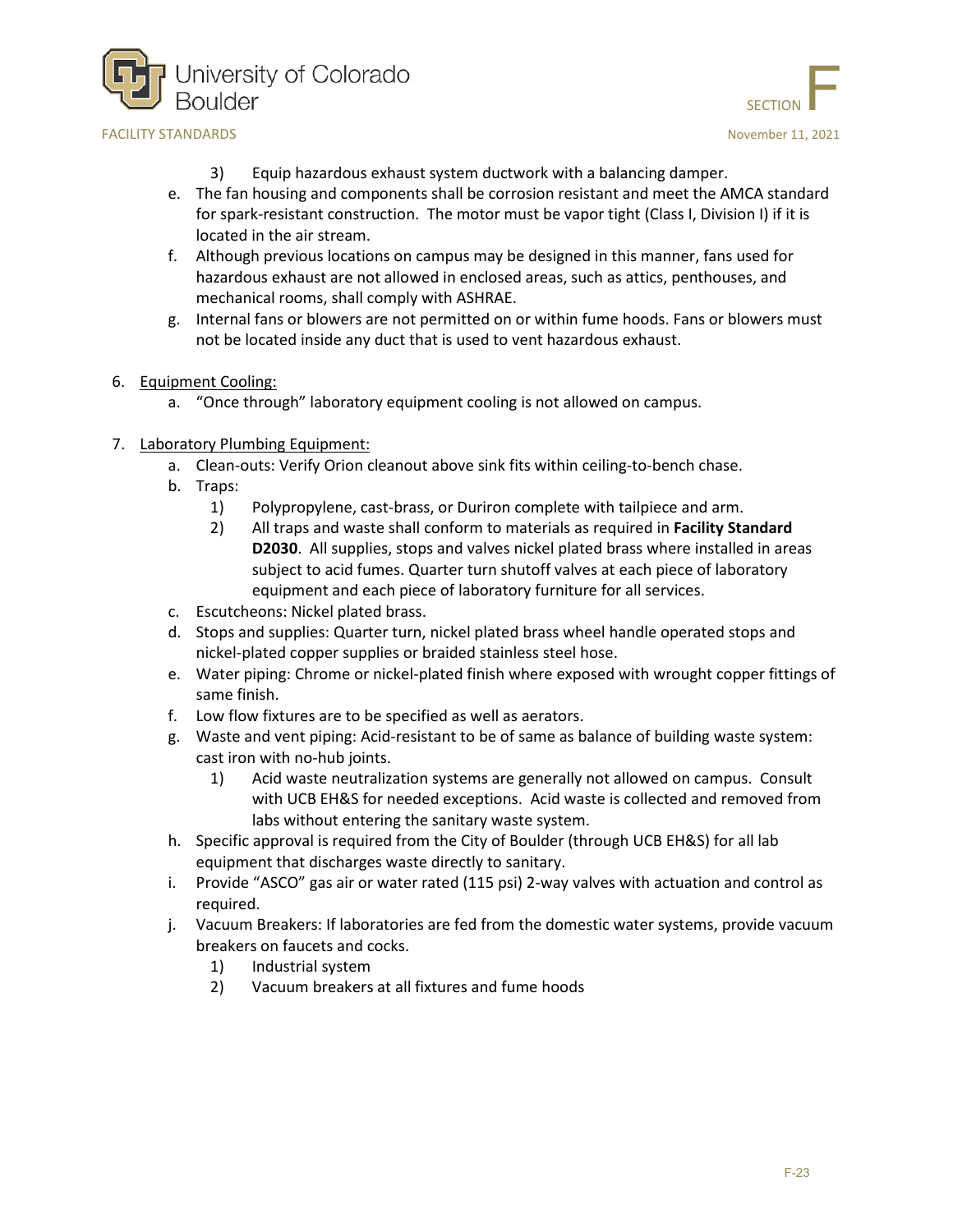



- 3) Equip hazardous exhaust system ductwork with a balancing damper.
- e. The fan housing and components shall be corrosion resistant and meet the AMCA standard for spark-resistant construction. The motor must be vapor tight (Class I, Division I) if it is located in the air stream.
- f. Although previous locations on campus may be designed in this manner, fans used for hazardous exhaust are not allowed in enclosed areas, such as attics, penthouses, and mechanical rooms, shall comply with ASHRAE.
- g. Internal fans or blowers are not permitted on or within fume hoods. Fans or blowers must not be located inside any duct that is used to vent hazardous exhaust.
- 6. Equipment Cooling:
	- a. "Once through" laboratory equipment cooling is not allowed on campus.
- 7. Laboratory Plumbing Equipment:
	- a. Clean-outs: Verify Orion cleanout above sink fits within ceiling-to-bench chase.
	- b. Traps:
		- 1) Polypropylene, cast-brass, or Duriron complete with tailpiece and arm.
		- 2) All traps and waste shall conform to materials as required in **Facility Standard D2030**. All supplies, stops and valves nickel plated brass where installed in areas subject to acid fumes. Quarter turn shutoff valves at each piece of laboratory equipment and each piece of laboratory furniture for all services.
	- c. Escutcheons: Nickel plated brass.
	- d. Stops and supplies: Quarter turn, nickel plated brass wheel handle operated stops and nickel-plated copper supplies or braided stainless steel hose.
	- e. Water piping: Chrome or nickel-plated finish where exposed with wrought copper fittings of same finish.
	- f. Low flow fixtures are to be specified as well as aerators.
	- g. Waste and vent piping: Acid-resistant to be of same as balance of building waste system: cast iron with no-hub joints.
		- 1) Acid waste neutralization systems are generally not allowed on campus. Consult with UCB EH&S for needed exceptions. Acid waste is collected and removed from labs without entering the sanitary waste system.
	- h. Specific approval is required from the City of Boulder (through UCB EH&S) for all lab equipment that discharges waste directly to sanitary.
	- i. Provide "ASCO" gas air or water rated (115 psi) 2-way valves with actuation and control as required.
	- j. Vacuum Breakers: If laboratories are fed from the domestic water systems, provide vacuum breakers on faucets and cocks.
		- 1) Industrial system
		- 2) Vacuum breakers at all fixtures and fume hoods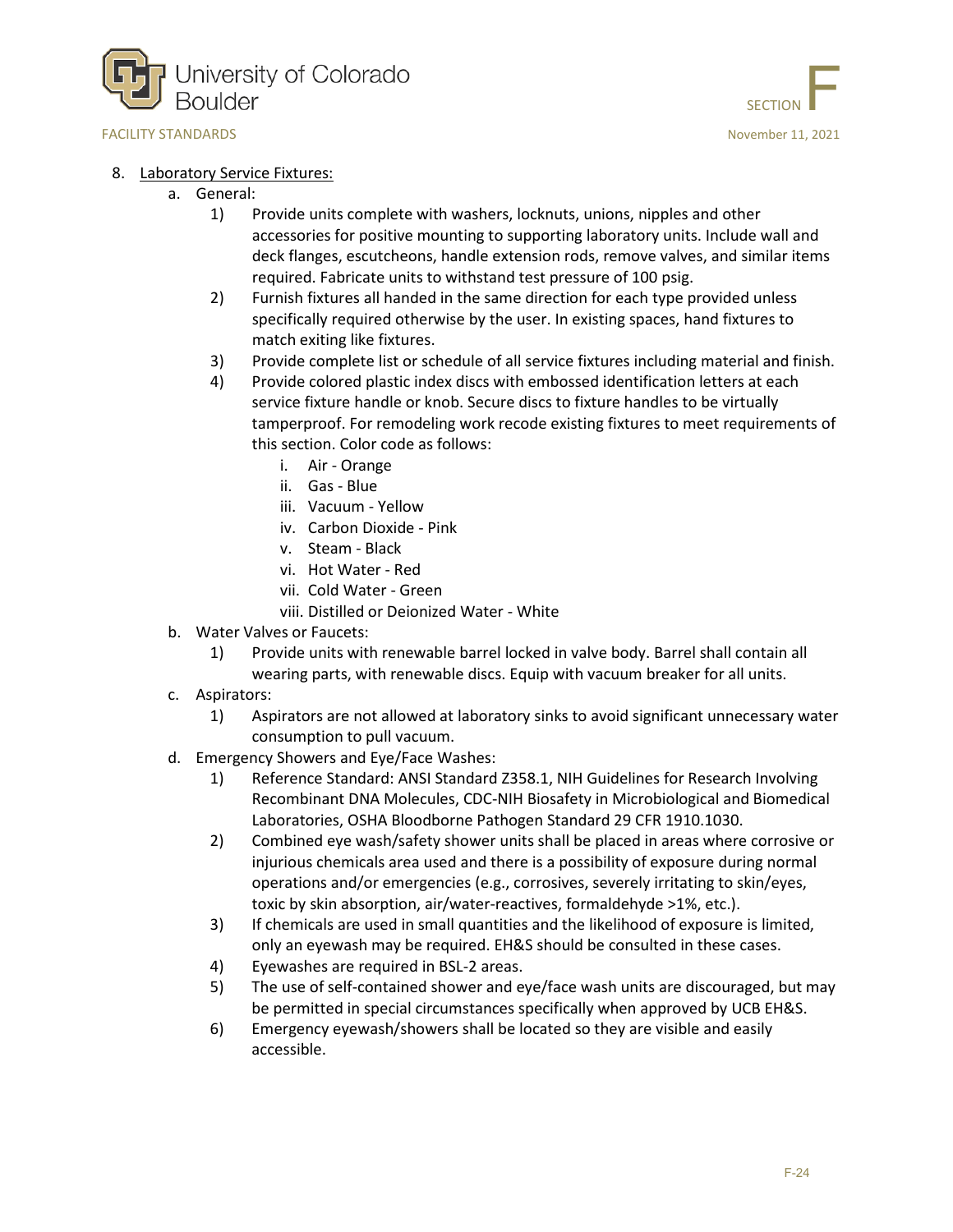



#### 8. Laboratory Service Fixtures:

- a. General:
	- 1) Provide units complete with washers, locknuts, unions, nipples and other accessories for positive mounting to supporting laboratory units. Include wall and deck flanges, escutcheons, handle extension rods, remove valves, and similar items required. Fabricate units to withstand test pressure of 100 psig.
	- 2) Furnish fixtures all handed in the same direction for each type provided unless specifically required otherwise by the user. In existing spaces, hand fixtures to match exiting like fixtures.
	- 3) Provide complete list or schedule of all service fixtures including material and finish.
	- 4) Provide colored plastic index discs with embossed identification letters at each service fixture handle or knob. Secure discs to fixture handles to be virtually tamperproof. For remodeling work recode existing fixtures to meet requirements of this section. Color code as follows:
		- i. Air Orange
		- ii. Gas Blue
		- iii. Vacuum Yellow
		- iv. Carbon Dioxide Pink
		- v. Steam Black
		- vi. Hot Water Red
		- vii. Cold Water Green
		- viii. Distilled or Deionized Water White
- b. Water Valves or Faucets:
	- 1) Provide units with renewable barrel locked in valve body. Barrel shall contain all wearing parts, with renewable discs. Equip with vacuum breaker for all units.
- c. Aspirators:
	- 1) Aspirators are not allowed at laboratory sinks to avoid significant unnecessary water consumption to pull vacuum.
- d. Emergency Showers and Eye/Face Washes:
	- 1) Reference Standard: ANSI Standard Z358.1, NIH Guidelines for Research Involving Recombinant DNA Molecules, CDC-NIH Biosafety in Microbiological and Biomedical Laboratories, OSHA Bloodborne Pathogen Standard 29 CFR 1910.1030.
	- 2) Combined eye wash/safety shower units shall be placed in areas where corrosive or injurious chemicals area used and there is a possibility of exposure during normal operations and/or emergencies (e.g., corrosives, severely irritating to skin/eyes, toxic by skin absorption, air/water-reactives, formaldehyde >1%, etc.).
	- 3) If chemicals are used in small quantities and the likelihood of exposure is limited, only an eyewash may be required. EH&S should be consulted in these cases.
	- 4) Eyewashes are required in BSL-2 areas.
	- 5) The use of self-contained shower and eye/face wash units are discouraged, but may be permitted in special circumstances specifically when approved by UCB EH&S.
	- 6) Emergency eyewash/showers shall be located so they are visible and easily accessible.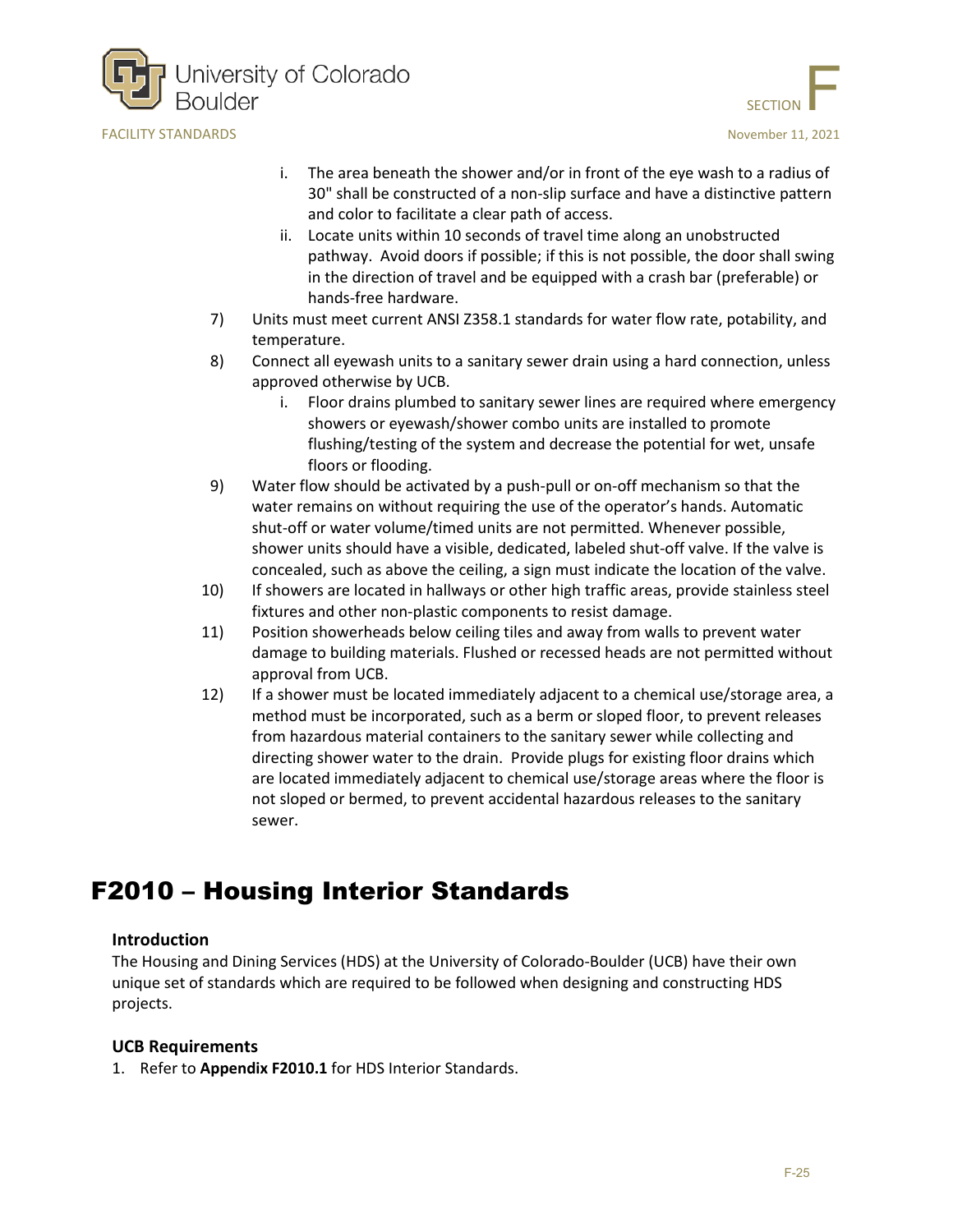



- i. The area beneath the shower and/or in front of the eye wash to a radius of 30" shall be constructed of a non-slip surface and have a distinctive pattern and color to facilitate a clear path of access.
- ii. Locate units within 10 seconds of travel time along an unobstructed pathway. Avoid doors if possible; if this is not possible, the door shall swing in the direction of travel and be equipped with a crash bar (preferable) or hands-free hardware.
- 7) Units must meet current ANSI Z358.1 standards for water flow rate, potability, and temperature.
- 8) Connect all eyewash units to a sanitary sewer drain using a hard connection, unless approved otherwise by UCB.
	- i. Floor drains plumbed to sanitary sewer lines are required where emergency showers or eyewash/shower combo units are installed to promote flushing/testing of the system and decrease the potential for wet, unsafe floors or flooding.
- 9) Water flow should be activated by a push-pull or on-off mechanism so that the water remains on without requiring the use of the operator's hands. Automatic shut-off or water volume/timed units are not permitted. Whenever possible, shower units should have a visible, dedicated, labeled shut-off valve. If the valve is concealed, such as above the ceiling, a sign must indicate the location of the valve.
- 10) If showers are located in hallways or other high traffic areas, provide stainless steel fixtures and other non-plastic components to resist damage.
- 11) Position showerheads below ceiling tiles and away from walls to prevent water damage to building materials. Flushed or recessed heads are not permitted without approval from UCB.
- 12) If a shower must be located immediately adjacent to a chemical use/storage area, a method must be incorporated, such as a berm or sloped floor, to prevent releases from hazardous material containers to the sanitary sewer while collecting and directing shower water to the drain. Provide plugs for existing floor drains which are located immediately adjacent to chemical use/storage areas where the floor is not sloped or bermed, to prevent accidental hazardous releases to the sanitary sewer.

## <span id="page-24-0"></span>F2010 – Housing Interior Standards

### **Introduction**

The Housing and Dining Services (HDS) at the University of Colorado-Boulder (UCB) have their own unique set of standards which are required to be followed when designing and constructing HDS projects.

### **UCB Requirements**

1. Refer to **Appendix F2010.1** for HDS Interior Standards.